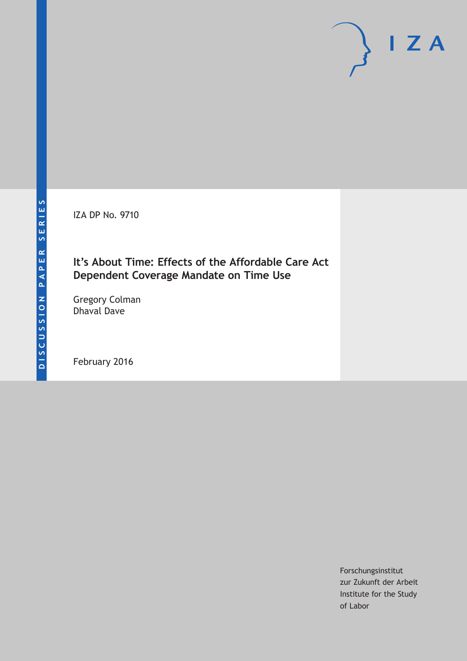IZA DP No. 9710

## **It's About Time: Effects of the Affordable Care Act Dependent Coverage Mandate on Time Use**

Gregory Colman Dhaval Dave

February 2016

Forschungsinstitut zur Zukunft der Arbeit Institute for the Study of Labor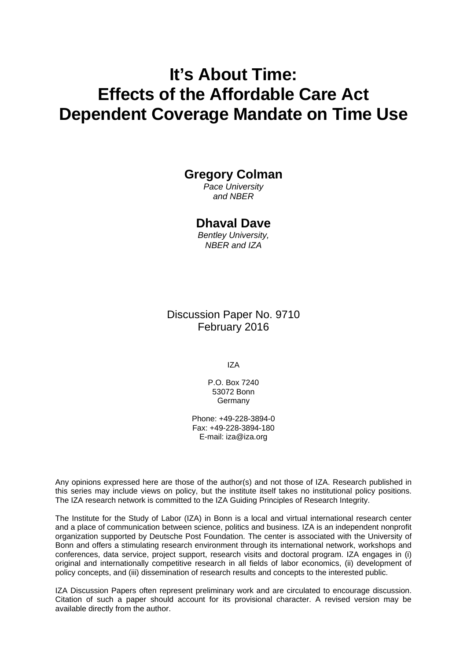# **It's About Time: Effects of the Affordable Care Act Dependent Coverage Mandate on Time Use**

# **Gregory Colman**

*Pace University and NBER* 

### **Dhaval Dave**

*Bentley University, NBER and IZA* 

### Discussion Paper No. 9710 February 2016

IZA

P.O. Box 7240 53072 Bonn Germany

Phone: +49-228-3894-0 Fax: +49-228-3894-180 E-mail: iza@iza.org

Any opinions expressed here are those of the author(s) and not those of IZA. Research published in this series may include views on policy, but the institute itself takes no institutional policy positions. The IZA research network is committed to the IZA Guiding Principles of Research Integrity.

The Institute for the Study of Labor (IZA) in Bonn is a local and virtual international research center and a place of communication between science, politics and business. IZA is an independent nonprofit organization supported by Deutsche Post Foundation. The center is associated with the University of Bonn and offers a stimulating research environment through its international network, workshops and conferences, data service, project support, research visits and doctoral program. IZA engages in (i) original and internationally competitive research in all fields of labor economics, (ii) development of policy concepts, and (iii) dissemination of research results and concepts to the interested public.

IZA Discussion Papers often represent preliminary work and are circulated to encourage discussion. Citation of such a paper should account for its provisional character. A revised version may be available directly from the author.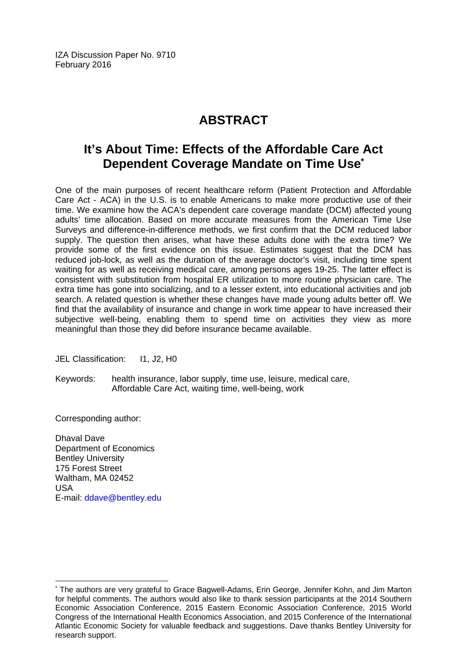IZA Discussion Paper No. 9710 February 2016

# **ABSTRACT**

# **It's About Time: Effects of the Affordable Care Act Dependent Coverage Mandate on Time Use\***

One of the main purposes of recent healthcare reform (Patient Protection and Affordable Care Act - ACA) in the U.S. is to enable Americans to make more productive use of their time. We examine how the ACA's dependent care coverage mandate (DCM) affected young adults' time allocation. Based on more accurate measures from the American Time Use Surveys and difference-in-difference methods, we first confirm that the DCM reduced labor supply. The question then arises, what have these adults done with the extra time? We provide some of the first evidence on this issue. Estimates suggest that the DCM has reduced job-lock, as well as the duration of the average doctor's visit, including time spent waiting for as well as receiving medical care, among persons ages 19-25. The latter effect is consistent with substitution from hospital ER utilization to more routine physician care. The extra time has gone into socializing, and to a lesser extent, into educational activities and job search. A related question is whether these changes have made young adults better off. We find that the availability of insurance and change in work time appear to have increased their subjective well-being, enabling them to spend time on activities they view as more meaningful than those they did before insurance became available.

JEL Classification: I1, J2, H0

Keywords: health insurance, labor supply, time use, leisure, medical care, Affordable Care Act, waiting time, well-being, work

Corresponding author:

 $\overline{a}$ 

Dhaval Dave Department of Economics Bentley University 175 Forest Street Waltham, MA 02452 USA E-mail: ddave@bentley.edu

<sup>\*</sup> The authors are very grateful to Grace Bagwell-Adams, Erin George, Jennifer Kohn, and Jim Marton for helpful comments. The authors would also like to thank session participants at the 2014 Southern Economic Association Conference, 2015 Eastern Economic Association Conference, 2015 World Congress of the International Health Economics Association, and 2015 Conference of the International Atlantic Economic Society for valuable feedback and suggestions. Dave thanks Bentley University for research support.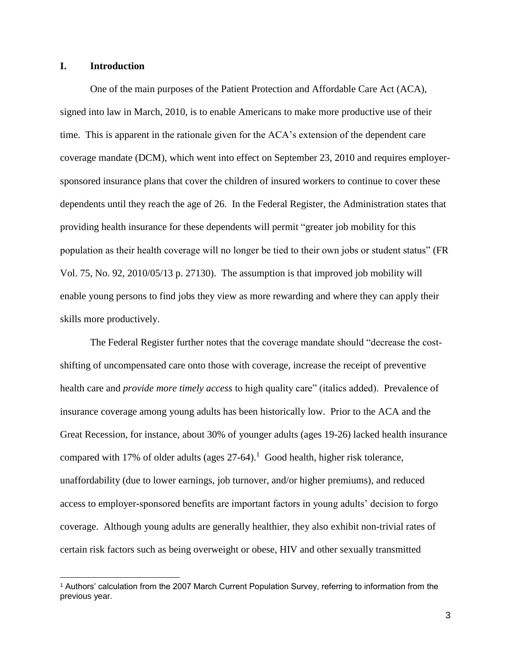#### **I. Introduction**

One of the main purposes of the Patient Protection and Affordable Care Act (ACA), signed into law in March, 2010, is to enable Americans to make more productive use of their time. This is apparent in the rationale given for the ACA's extension of the dependent care coverage mandate (DCM), which went into effect on September 23, 2010 and requires employersponsored insurance plans that cover the children of insured workers to continue to cover these dependents until they reach the age of 26. In the Federal Register, the Administration states that providing health insurance for these dependents will permit "greater job mobility for this population as their health coverage will no longer be tied to their own jobs or student status" (FR Vol. 75, No. 92, 2010/05/13 p. 27130). The assumption is that improved job mobility will enable young persons to find jobs they view as more rewarding and where they can apply their skills more productively.

The Federal Register further notes that the coverage mandate should "decrease the costshifting of uncompensated care onto those with coverage, increase the receipt of preventive health care and *provide more timely access* to high quality care" (italics added). Prevalence of insurance coverage among young adults has been historically low. Prior to the ACA and the Great Recession, for instance, about 30% of younger adults (ages 19-26) lacked health insurance compared with 17% of older adults (ages  $27-64$ ).<sup>1</sup> Good health, higher risk tolerance, unaffordability (due to lower earnings, job turnover, and/or higher premiums), and reduced access to employer-sponsored benefits are important factors in young adults' decision to forgo coverage. Although young adults are generally healthier, they also exhibit non-trivial rates of certain risk factors such as being overweight or obese, HIV and other sexually transmitted

<sup>1</sup> Authors' calculation from the 2007 March Current Population Survey, referring to information from the previous year.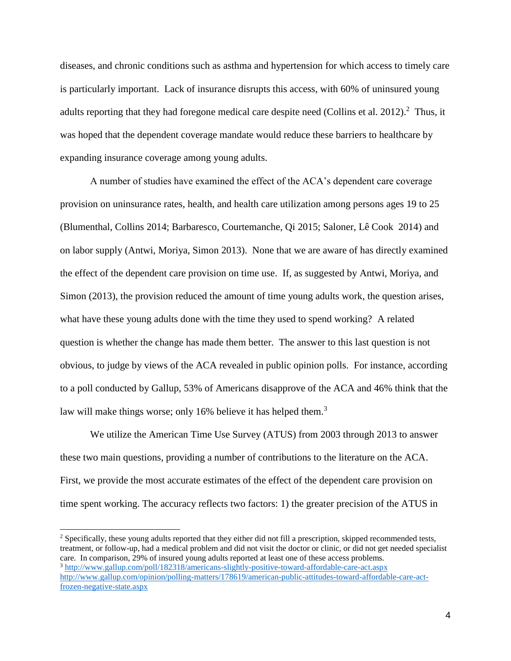diseases, and chronic conditions such as asthma and hypertension for which access to timely care is particularly important. Lack of insurance disrupts this access, with 60% of uninsured young adults reporting that they had foregone medical care despite need (Collins et al. 2012).<sup>2</sup> Thus, it was hoped that the dependent coverage mandate would reduce these barriers to healthcare by expanding insurance coverage among young adults.

A number of studies have examined the effect of the ACA's dependent care coverage provision on uninsurance rates, health, and health care utilization among persons ages 19 to 25 (Blumenthal, Collins 2014; Barbaresco, Courtemanche, Qi 2015; Saloner, Lê Cook 2014) and on labor supply (Antwi, Moriya, Simon 2013). None that we are aware of has directly examined the effect of the dependent care provision on time use. If, as suggested by Antwi, Moriya, and Simon (2013), the provision reduced the amount of time young adults work, the question arises, what have these young adults done with the time they used to spend working? A related question is whether the change has made them better. The answer to this last question is not obvious, to judge by views of the ACA revealed in public opinion polls. For instance, according to a poll conducted by Gallup, 53% of Americans disapprove of the ACA and 46% think that the law will make things worse; only 16% believe it has helped them.<sup>3</sup>

We utilize the American Time Use Survey (ATUS) from 2003 through 2013 to answer these two main questions, providing a number of contributions to the literature on the ACA. First, we provide the most accurate estimates of the effect of the dependent care provision on time spent working. The accuracy reflects two factors: 1) the greater precision of the ATUS in

<sup>&</sup>lt;sup>2</sup> Specifically, these young adults reported that they either did not fill a prescription, skipped recommended tests, treatment, or follow-up, had a medical problem and did not visit the doctor or clinic, or did not get needed specialist care. In comparison, 29% of insured young adults reported at least one of these access problems. <sup>3</sup> <http://www.gallup.com/poll/182318/americans-slightly-positive-toward-affordable-care-act.aspx> [http://www.gallup.com/opinion/polling-matters/178619/american-public-attitudes-toward-affordable-care-act](http://www.gallup.com/opinion/polling-matters/178619/american-public-attitudes-toward-affordable-care-act-frozen-negative-state.aspx)[frozen-negative-state.aspx](http://www.gallup.com/opinion/polling-matters/178619/american-public-attitudes-toward-affordable-care-act-frozen-negative-state.aspx)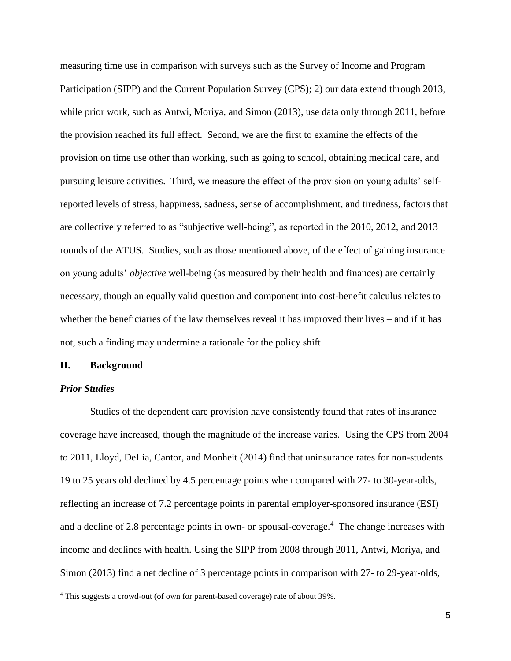measuring time use in comparison with surveys such as the Survey of Income and Program Participation (SIPP) and the Current Population Survey (CPS); 2) our data extend through 2013, while prior work, such as Antwi, Moriya, and Simon (2013), use data only through 2011, before the provision reached its full effect. Second, we are the first to examine the effects of the provision on time use other than working, such as going to school, obtaining medical care, and pursuing leisure activities. Third, we measure the effect of the provision on young adults' selfreported levels of stress, happiness, sadness, sense of accomplishment, and tiredness, factors that are collectively referred to as "subjective well-being", as reported in the 2010, 2012, and 2013 rounds of the ATUS. Studies, such as those mentioned above, of the effect of gaining insurance on young adults' *objective* well-being (as measured by their health and finances) are certainly necessary, though an equally valid question and component into cost-benefit calculus relates to whether the beneficiaries of the law themselves reveal it has improved their lives – and if it has not, such a finding may undermine a rationale for the policy shift.

#### **II. Background**

#### *Prior Studies*

Studies of the dependent care provision have consistently found that rates of insurance coverage have increased, though the magnitude of the increase varies. Using the CPS from 2004 to 2011, Lloyd, DeLia, Cantor, and Monheit (2014) find that uninsurance rates for non-students 19 to 25 years old declined by 4.5 percentage points when compared with 27- to 30-year-olds, reflecting an increase of 7.2 percentage points in parental employer-sponsored insurance (ESI) and a decline of 2.8 percentage points in own- or spousal-coverage.<sup>4</sup> The change increases with income and declines with health. Using the SIPP from 2008 through 2011, Antwi, Moriya, and Simon (2013) find a net decline of 3 percentage points in comparison with 27- to 29-year-olds,

<sup>&</sup>lt;sup>4</sup> This suggests a crowd-out (of own for parent-based coverage) rate of about 39%.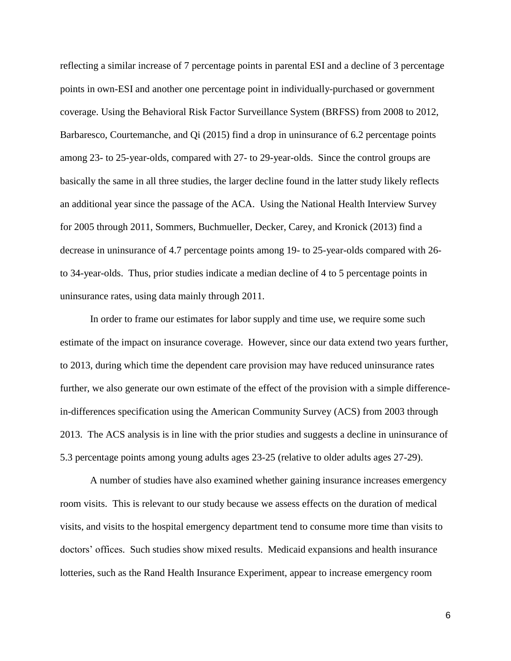reflecting a similar increase of 7 percentage points in parental ESI and a decline of 3 percentage points in own-ESI and another one percentage point in individually-purchased or government coverage. Using the Behavioral Risk Factor Surveillance System (BRFSS) from 2008 to 2012, Barbaresco, Courtemanche, and Qi (2015) find a drop in uninsurance of 6.2 percentage points among 23- to 25-year-olds, compared with 27- to 29-year-olds. Since the control groups are basically the same in all three studies, the larger decline found in the latter study likely reflects an additional year since the passage of the ACA. Using the National Health Interview Survey for 2005 through 2011, Sommers, Buchmueller, Decker, Carey, and Kronick (2013) find a decrease in uninsurance of 4.7 percentage points among 19- to 25-year-olds compared with 26 to 34-year-olds. Thus, prior studies indicate a median decline of 4 to 5 percentage points in uninsurance rates, using data mainly through 2011.

In order to frame our estimates for labor supply and time use, we require some such estimate of the impact on insurance coverage. However, since our data extend two years further, to 2013, during which time the dependent care provision may have reduced uninsurance rates further, we also generate our own estimate of the effect of the provision with a simple differencein-differences specification using the American Community Survey (ACS) from 2003 through 2013. The ACS analysis is in line with the prior studies and suggests a decline in uninsurance of 5.3 percentage points among young adults ages 23-25 (relative to older adults ages 27-29).

A number of studies have also examined whether gaining insurance increases emergency room visits. This is relevant to our study because we assess effects on the duration of medical visits, and visits to the hospital emergency department tend to consume more time than visits to doctors' offices. Such studies show mixed results. Medicaid expansions and health insurance lotteries, such as the Rand Health Insurance Experiment, appear to increase emergency room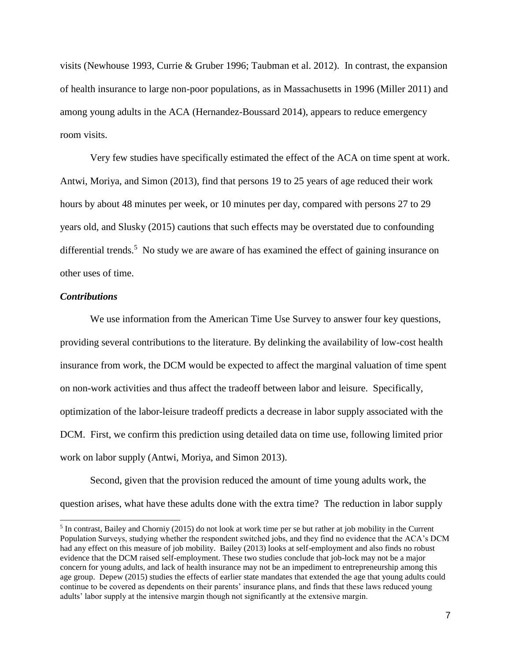visits (Newhouse 1993, Currie & Gruber 1996; Taubman et al. 2012). In contrast, the expansion of health insurance to large non-poor populations, as in Massachusetts in 1996 (Miller 2011) and among young adults in the ACA (Hernandez-Boussard 2014), appears to reduce emergency room visits.

Very few studies have specifically estimated the effect of the ACA on time spent at work. Antwi, Moriya, and Simon (2013), find that persons 19 to 25 years of age reduced their work hours by about 48 minutes per week, or 10 minutes per day, compared with persons 27 to 29 years old, and Slusky (2015) cautions that such effects may be overstated due to confounding differential trends.<sup>5</sup> No study we are aware of has examined the effect of gaining insurance on other uses of time.

#### *Contributions*

We use information from the American Time Use Survey to answer four key questions, providing several contributions to the literature. By delinking the availability of low-cost health insurance from work, the DCM would be expected to affect the marginal valuation of time spent on non-work activities and thus affect the tradeoff between labor and leisure. Specifically, optimization of the labor-leisure tradeoff predicts a decrease in labor supply associated with the DCM. First, we confirm this prediction using detailed data on time use, following limited prior work on labor supply (Antwi, Moriya, and Simon 2013).

Second, given that the provision reduced the amount of time young adults work, the question arises, what have these adults done with the extra time? The reduction in labor supply

<sup>&</sup>lt;sup>5</sup> In contrast, Bailey and Chorniy (2015) do not look at work time per se but rather at job mobility in the Current Population Surveys, studying whether the respondent switched jobs, and they find no evidence that the ACA's DCM had any effect on this measure of job mobility. Bailey (2013) looks at self-employment and also finds no robust evidence that the DCM raised self-employment. These two studies conclude that job-lock may not be a major concern for young adults, and lack of health insurance may not be an impediment to entrepreneurship among this age group. Depew (2015) studies the effects of earlier state mandates that extended the age that young adults could continue to be covered as dependents on their parents' insurance plans, and finds that these laws reduced young adults' labor supply at the intensive margin though not significantly at the extensive margin.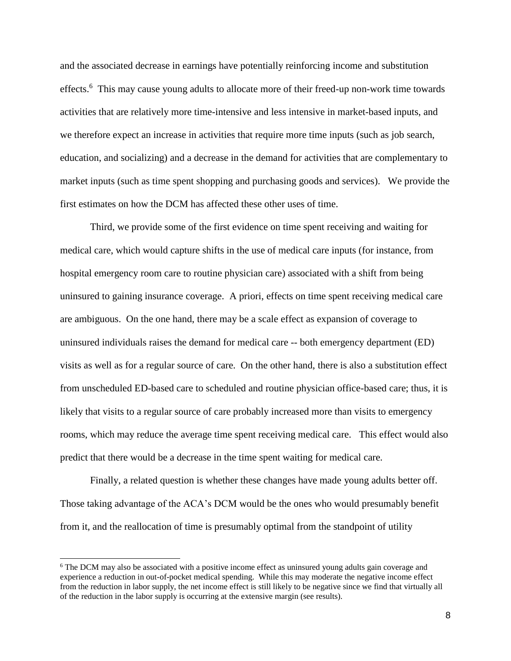and the associated decrease in earnings have potentially reinforcing income and substitution effects.<sup>6</sup> This may cause young adults to allocate more of their freed-up non-work time towards activities that are relatively more time-intensive and less intensive in market-based inputs, and we therefore expect an increase in activities that require more time inputs (such as job search, education, and socializing) and a decrease in the demand for activities that are complementary to market inputs (such as time spent shopping and purchasing goods and services). We provide the first estimates on how the DCM has affected these other uses of time.

Third, we provide some of the first evidence on time spent receiving and waiting for medical care, which would capture shifts in the use of medical care inputs (for instance, from hospital emergency room care to routine physician care) associated with a shift from being uninsured to gaining insurance coverage. A priori, effects on time spent receiving medical care are ambiguous. On the one hand, there may be a scale effect as expansion of coverage to uninsured individuals raises the demand for medical care -- both emergency department (ED) visits as well as for a regular source of care. On the other hand, there is also a substitution effect from unscheduled ED-based care to scheduled and routine physician office-based care; thus, it is likely that visits to a regular source of care probably increased more than visits to emergency rooms, which may reduce the average time spent receiving medical care. This effect would also predict that there would be a decrease in the time spent waiting for medical care.

Finally, a related question is whether these changes have made young adults better off. Those taking advantage of the ACA's DCM would be the ones who would presumably benefit from it, and the reallocation of time is presumably optimal from the standpoint of utility

<sup>&</sup>lt;sup>6</sup> The DCM may also be associated with a positive income effect as uninsured young adults gain coverage and experience a reduction in out-of-pocket medical spending. While this may moderate the negative income effect from the reduction in labor supply, the net income effect is still likely to be negative since we find that virtually all of the reduction in the labor supply is occurring at the extensive margin (see results).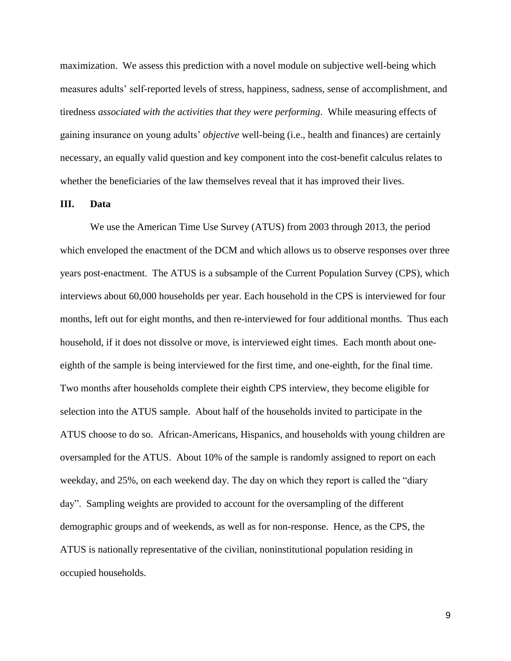maximization. We assess this prediction with a novel module on subjective well-being which measures adults' self-reported levels of stress, happiness, sadness, sense of accomplishment, and tiredness *associated with the activities that they were performing*. While measuring effects of gaining insurance on young adults' *objective* well-being (i.e., health and finances) are certainly necessary, an equally valid question and key component into the cost-benefit calculus relates to whether the beneficiaries of the law themselves reveal that it has improved their lives.

#### **III. Data**

We use the American Time Use Survey (ATUS) from 2003 through 2013, the period which enveloped the enactment of the DCM and which allows us to observe responses over three years post-enactment. The ATUS is a subsample of the Current Population Survey (CPS), which interviews about 60,000 households per year. Each household in the CPS is interviewed for four months, left out for eight months, and then re-interviewed for four additional months. Thus each household, if it does not dissolve or move, is interviewed eight times. Each month about oneeighth of the sample is being interviewed for the first time, and one-eighth, for the final time. Two months after households complete their eighth CPS interview, they become eligible for selection into the ATUS sample. About half of the households invited to participate in the ATUS choose to do so. African-Americans, Hispanics, and households with young children are oversampled for the ATUS. About 10% of the sample is randomly assigned to report on each weekday, and 25%, on each weekend day. The day on which they report is called the "diary day". Sampling weights are provided to account for the oversampling of the different demographic groups and of weekends, as well as for non-response. Hence, as the CPS, the ATUS is nationally representative of the civilian, noninstitutional population residing in occupied households.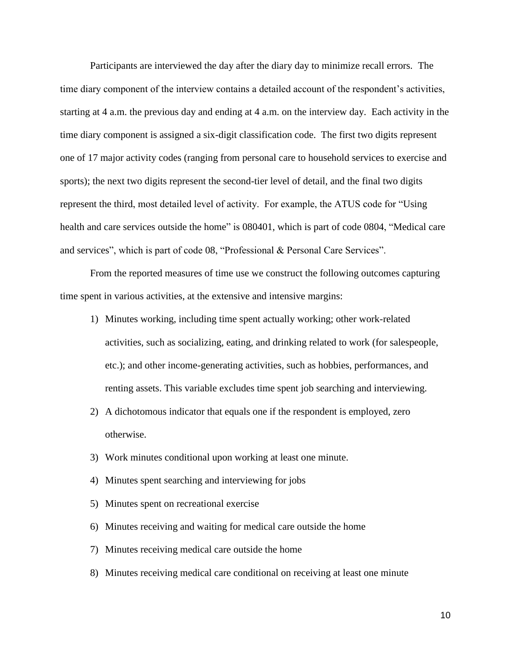Participants are interviewed the day after the diary day to minimize recall errors. The time diary component of the interview contains a detailed account of the respondent's activities, starting at 4 a.m. the previous day and ending at 4 a.m. on the interview day. Each activity in the time diary component is assigned a six-digit classification code. The first two digits represent one of 17 major activity codes (ranging from personal care to household services to exercise and sports); the next two digits represent the second-tier level of detail, and the final two digits represent the third, most detailed level of activity. For example, the ATUS code for "Using health and care services outside the home" is 080401, which is part of code 0804, "Medical care and services", which is part of code 08, "Professional & Personal Care Services".

From the reported measures of time use we construct the following outcomes capturing time spent in various activities, at the extensive and intensive margins:

- 1) Minutes working, including time spent actually working; other work-related activities, such as socializing, eating, and drinking related to work (for salespeople, etc.); and other income-generating activities, such as hobbies, performances, and renting assets. This variable excludes time spent job searching and interviewing.
- 2) A dichotomous indicator that equals one if the respondent is employed, zero otherwise.
- 3) Work minutes conditional upon working at least one minute.
- 4) Minutes spent searching and interviewing for jobs
- 5) Minutes spent on recreational exercise
- 6) Minutes receiving and waiting for medical care outside the home
- 7) Minutes receiving medical care outside the home
- 8) Minutes receiving medical care conditional on receiving at least one minute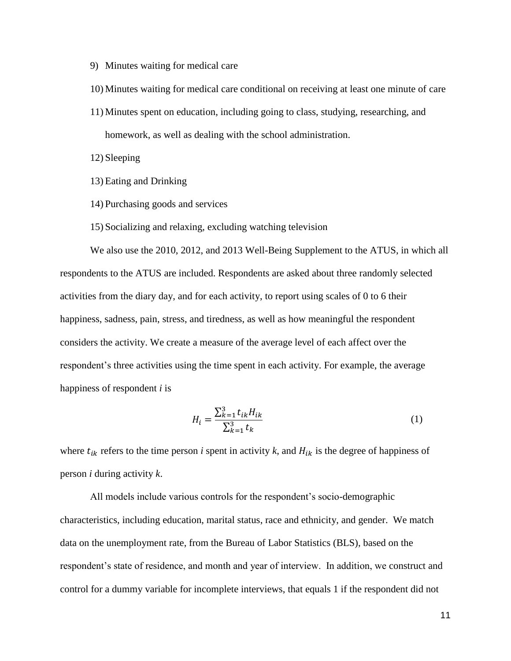- 9) Minutes waiting for medical care
- 10) Minutes waiting for medical care conditional on receiving at least one minute of care
- 11) Minutes spent on education, including going to class, studying, researching, and homework, as well as dealing with the school administration.
- 12) Sleeping
- 13) Eating and Drinking
- 14) Purchasing goods and services
- 15) Socializing and relaxing, excluding watching television

We also use the 2010, 2012, and 2013 Well-Being Supplement to the ATUS, in which all respondents to the ATUS are included. Respondents are asked about three randomly selected activities from the diary day, and for each activity, to report using scales of 0 to 6 their happiness, sadness, pain, stress, and tiredness, as well as how meaningful the respondent considers the activity. We create a measure of the average level of each affect over the respondent's three activities using the time spent in each activity. For example, the average happiness of respondent *i* is

$$
H_i = \frac{\sum_{k=1}^{3} t_{ik} H_{ik}}{\sum_{k=1}^{3} t_k}
$$
 (1)

where  $t_{ik}$  refers to the time person *i* spent in activity *k*, and  $H_{ik}$  is the degree of happiness of person *i* during activity *k*.

All models include various controls for the respondent's socio-demographic characteristics, including education, marital status, race and ethnicity, and gender. We match data on the unemployment rate, from the Bureau of Labor Statistics (BLS), based on the respondent's state of residence, and month and year of interview. In addition, we construct and control for a dummy variable for incomplete interviews, that equals 1 if the respondent did not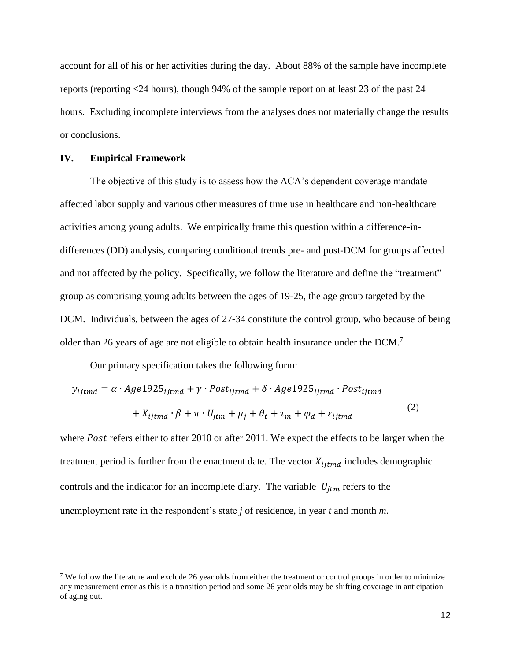account for all of his or her activities during the day. About 88% of the sample have incomplete reports (reporting <24 hours), though 94% of the sample report on at least 23 of the past 24 hours. Excluding incomplete interviews from the analyses does not materially change the results or conclusions.

#### **IV. Empirical Framework**

 $\overline{a}$ 

The objective of this study is to assess how the ACA's dependent coverage mandate affected labor supply and various other measures of time use in healthcare and non-healthcare activities among young adults. We empirically frame this question within a difference-indifferences (DD) analysis, comparing conditional trends pre- and post-DCM for groups affected and not affected by the policy. Specifically, we follow the literature and define the "treatment" group as comprising young adults between the ages of 19-25, the age group targeted by the DCM. Individuals, between the ages of 27-34 constitute the control group, who because of being older than 26 years of age are not eligible to obtain health insurance under the  $DCM$ .<sup>7</sup>

Our primary specification takes the following form:

$$
y_{ijtmd} = \alpha \cdot Age1925_{ijtmd} + \gamma \cdot Post_{ijtmd} + \delta \cdot Age1925_{ijtmd} \cdot Post_{ijtmd}
$$

$$
+ X_{ijtmd} \cdot \beta + \pi \cdot U_{jtm} + \mu_j + \theta_t + \tau_m + \varphi_d + \varepsilon_{ijtmd}
$$

$$
(2)
$$

where *Post* refers either to after 2010 or after 2011. We expect the effects to be larger when the treatment period is further from the enactment date. The vector  $X_{ijtmd}$  includes demographic controls and the indicator for an incomplete diary. The variable  $U_{itm}$  refers to the unemployment rate in the respondent's state *j* of residence, in year *t* and month *m*.

<sup>&</sup>lt;sup>7</sup> We follow the literature and exclude 26 year olds from either the treatment or control groups in order to minimize any measurement error as this is a transition period and some 26 year olds may be shifting coverage in anticipation of aging out.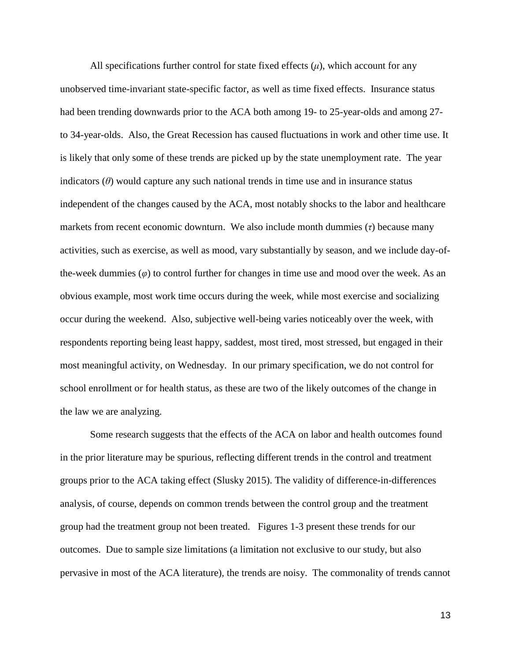All specifications further control for state fixed effects  $(\mu)$ , which account for any unobserved time-invariant state-specific factor, as well as time fixed effects. Insurance status had been trending downwards prior to the ACA both among 19- to 25-year-olds and among 27 to 34-year-olds. Also, the Great Recession has caused fluctuations in work and other time use. It is likely that only some of these trends are picked up by the state unemployment rate. The year indicators  $(\theta)$  would capture any such national trends in time use and in insurance status independent of the changes caused by the ACA, most notably shocks to the labor and healthcare markets from recent economic downturn. We also include month dummies (*τ*) because many activities, such as exercise, as well as mood, vary substantially by season, and we include day-ofthe-week dummies (*φ*) to control further for changes in time use and mood over the week. As an obvious example, most work time occurs during the week, while most exercise and socializing occur during the weekend. Also, subjective well-being varies noticeably over the week, with respondents reporting being least happy, saddest, most tired, most stressed, but engaged in their most meaningful activity, on Wednesday. In our primary specification, we do not control for school enrollment or for health status, as these are two of the likely outcomes of the change in the law we are analyzing.

Some research suggests that the effects of the ACA on labor and health outcomes found in the prior literature may be spurious, reflecting different trends in the control and treatment groups prior to the ACA taking effect (Slusky 2015). The validity of difference-in-differences analysis, of course, depends on common trends between the control group and the treatment group had the treatment group not been treated. Figures 1-3 present these trends for our outcomes. Due to sample size limitations (a limitation not exclusive to our study, but also pervasive in most of the ACA literature), the trends are noisy. The commonality of trends cannot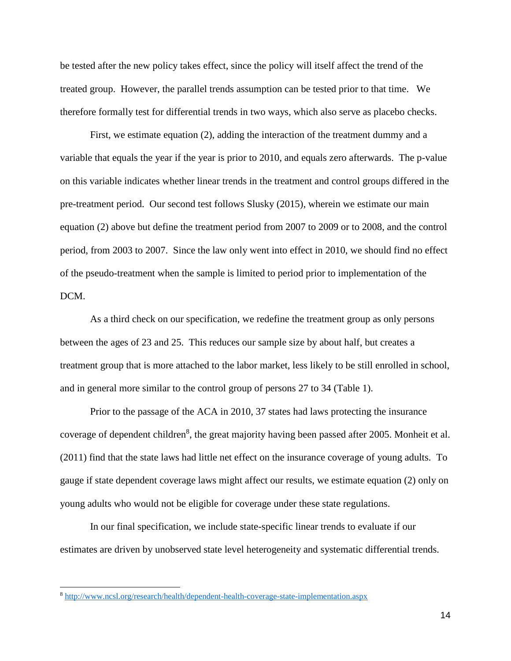be tested after the new policy takes effect, since the policy will itself affect the trend of the treated group. However, the parallel trends assumption can be tested prior to that time. We therefore formally test for differential trends in two ways, which also serve as placebo checks.

First, we estimate equation (2), adding the interaction of the treatment dummy and a variable that equals the year if the year is prior to 2010, and equals zero afterwards. The p-value on this variable indicates whether linear trends in the treatment and control groups differed in the pre-treatment period. Our second test follows Slusky (2015), wherein we estimate our main equation (2) above but define the treatment period from 2007 to 2009 or to 2008, and the control period, from 2003 to 2007. Since the law only went into effect in 2010, we should find no effect of the pseudo-treatment when the sample is limited to period prior to implementation of the DCM.

As a third check on our specification, we redefine the treatment group as only persons between the ages of 23 and 25. This reduces our sample size by about half, but creates a treatment group that is more attached to the labor market, less likely to be still enrolled in school, and in general more similar to the control group of persons 27 to 34 (Table 1).

Prior to the passage of the ACA in 2010, 37 states had laws protecting the insurance coverage of dependent children<sup>8</sup>, the great majority having been passed after 2005. Monheit et al. (2011) find that the state laws had little net effect on the insurance coverage of young adults. To gauge if state dependent coverage laws might affect our results, we estimate equation (2) only on young adults who would not be eligible for coverage under these state regulations.

In our final specification, we include state-specific linear trends to evaluate if our estimates are driven by unobserved state level heterogeneity and systematic differential trends.

<sup>8</sup> <http://www.ncsl.org/research/health/dependent-health-coverage-state-implementation.aspx>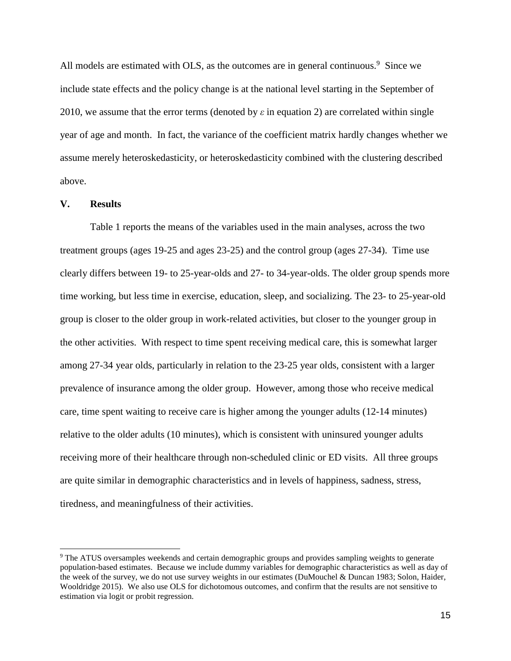All models are estimated with OLS, as the outcomes are in general continuous.<sup>9</sup> Since we include state effects and the policy change is at the national level starting in the September of 2010, we assume that the error terms (denoted by *ε* in equation 2) are correlated within single year of age and month. In fact, the variance of the coefficient matrix hardly changes whether we assume merely heteroskedasticity, or heteroskedasticity combined with the clustering described above.

#### **V. Results**

Table 1 reports the means of the variables used in the main analyses, across the two treatment groups (ages 19-25 and ages 23-25) and the control group (ages 27-34). Time use clearly differs between 19- to 25-year-olds and 27- to 34-year-olds. The older group spends more time working, but less time in exercise, education, sleep, and socializing. The 23- to 25-year-old group is closer to the older group in work-related activities, but closer to the younger group in the other activities. With respect to time spent receiving medical care, this is somewhat larger among 27-34 year olds, particularly in relation to the 23-25 year olds, consistent with a larger prevalence of insurance among the older group. However, among those who receive medical care, time spent waiting to receive care is higher among the younger adults (12-14 minutes) relative to the older adults (10 minutes), which is consistent with uninsured younger adults receiving more of their healthcare through non-scheduled clinic or ED visits. All three groups are quite similar in demographic characteristics and in levels of happiness, sadness, stress, tiredness, and meaningfulness of their activities.

<sup>9</sup> The ATUS oversamples weekends and certain demographic groups and provides sampling weights to generate population-based estimates. Because we include dummy variables for demographic characteristics as well as day of the week of the survey, we do not use survey weights in our estimates (DuMouchel & Duncan 1983; Solon, Haider, Wooldridge 2015). We also use OLS for dichotomous outcomes, and confirm that the results are not sensitive to estimation via logit or probit regression.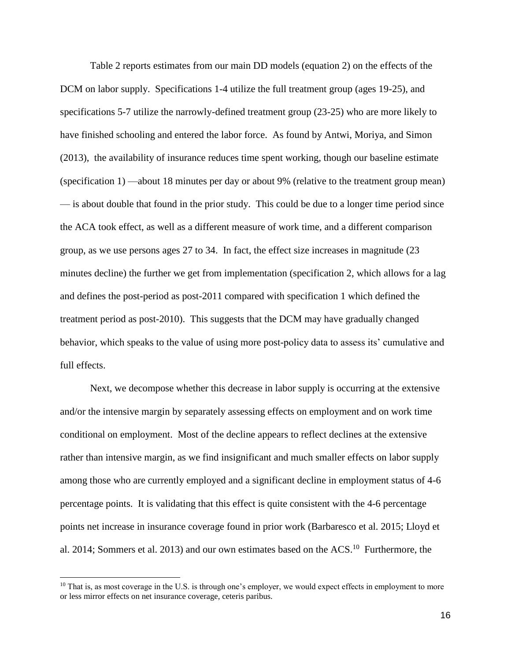Table 2 reports estimates from our main DD models (equation 2) on the effects of the DCM on labor supply. Specifications 1-4 utilize the full treatment group (ages 19-25), and specifications 5-7 utilize the narrowly-defined treatment group (23-25) who are more likely to have finished schooling and entered the labor force. As found by Antwi, Moriya, and Simon (2013), the availability of insurance reduces time spent working, though our baseline estimate (specification 1) —about 18 minutes per day or about 9% (relative to the treatment group mean) — is about double that found in the prior study. This could be due to a longer time period since the ACA took effect, as well as a different measure of work time, and a different comparison group, as we use persons ages 27 to 34. In fact, the effect size increases in magnitude (23 minutes decline) the further we get from implementation (specification 2, which allows for a lag and defines the post-period as post-2011 compared with specification 1 which defined the treatment period as post-2010). This suggests that the DCM may have gradually changed behavior, which speaks to the value of using more post-policy data to assess its' cumulative and full effects.

Next, we decompose whether this decrease in labor supply is occurring at the extensive and/or the intensive margin by separately assessing effects on employment and on work time conditional on employment. Most of the decline appears to reflect declines at the extensive rather than intensive margin, as we find insignificant and much smaller effects on labor supply among those who are currently employed and a significant decline in employment status of 4-6 percentage points. It is validating that this effect is quite consistent with the 4-6 percentage points net increase in insurance coverage found in prior work (Barbaresco et al. 2015; Lloyd et al. 2014; Sommers et al. 2013) and our own estimates based on the ACS.<sup>10</sup> Furthermore, the

 $10$  That is, as most coverage in the U.S. is through one's employer, we would expect effects in employment to more or less mirror effects on net insurance coverage, ceteris paribus.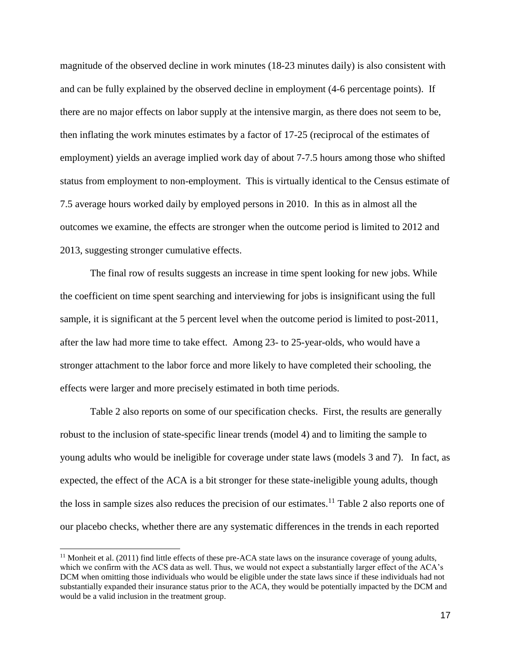magnitude of the observed decline in work minutes (18-23 minutes daily) is also consistent with and can be fully explained by the observed decline in employment (4-6 percentage points). If there are no major effects on labor supply at the intensive margin, as there does not seem to be, then inflating the work minutes estimates by a factor of 17-25 (reciprocal of the estimates of employment) yields an average implied work day of about 7-7.5 hours among those who shifted status from employment to non-employment. This is virtually identical to the Census estimate of 7.5 average hours worked daily by employed persons in 2010. In this as in almost all the outcomes we examine, the effects are stronger when the outcome period is limited to 2012 and 2013, suggesting stronger cumulative effects.

The final row of results suggests an increase in time spent looking for new jobs. While the coefficient on time spent searching and interviewing for jobs is insignificant using the full sample, it is significant at the 5 percent level when the outcome period is limited to post-2011, after the law had more time to take effect. Among 23- to 25-year-olds, who would have a stronger attachment to the labor force and more likely to have completed their schooling, the effects were larger and more precisely estimated in both time periods.

Table 2 also reports on some of our specification checks. First, the results are generally robust to the inclusion of state-specific linear trends (model 4) and to limiting the sample to young adults who would be ineligible for coverage under state laws (models 3 and 7). In fact, as expected, the effect of the ACA is a bit stronger for these state-ineligible young adults, though the loss in sample sizes also reduces the precision of our estimates.<sup>11</sup> Table 2 also reports one of our placebo checks, whether there are any systematic differences in the trends in each reported

 $11$  Monheit et al. (2011) find little effects of these pre-ACA state laws on the insurance coverage of young adults, which we confirm with the ACS data as well. Thus, we would not expect a substantially larger effect of the ACA's DCM when omitting those individuals who would be eligible under the state laws since if these individuals had not substantially expanded their insurance status prior to the ACA, they would be potentially impacted by the DCM and would be a valid inclusion in the treatment group.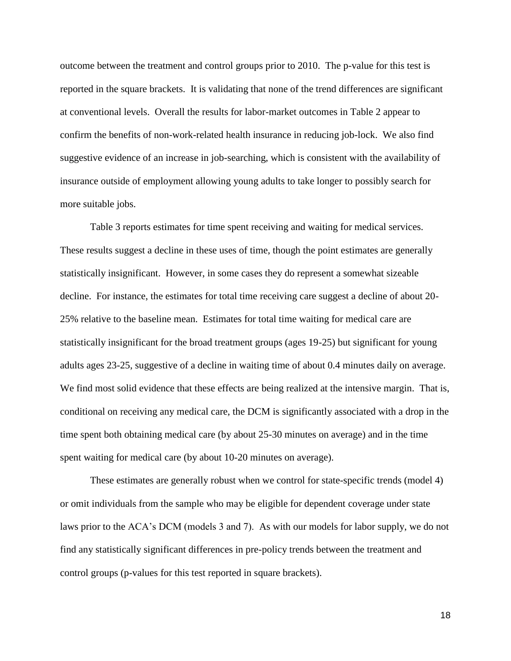outcome between the treatment and control groups prior to 2010. The p-value for this test is reported in the square brackets. It is validating that none of the trend differences are significant at conventional levels. Overall the results for labor-market outcomes in Table 2 appear to confirm the benefits of non-work-related health insurance in reducing job-lock. We also find suggestive evidence of an increase in job-searching, which is consistent with the availability of insurance outside of employment allowing young adults to take longer to possibly search for more suitable jobs.

Table 3 reports estimates for time spent receiving and waiting for medical services. These results suggest a decline in these uses of time, though the point estimates are generally statistically insignificant. However, in some cases they do represent a somewhat sizeable decline. For instance, the estimates for total time receiving care suggest a decline of about 20- 25% relative to the baseline mean. Estimates for total time waiting for medical care are statistically insignificant for the broad treatment groups (ages 19-25) but significant for young adults ages 23-25, suggestive of a decline in waiting time of about 0.4 minutes daily on average. We find most solid evidence that these effects are being realized at the intensive margin. That is, conditional on receiving any medical care, the DCM is significantly associated with a drop in the time spent both obtaining medical care (by about 25-30 minutes on average) and in the time spent waiting for medical care (by about 10-20 minutes on average).

These estimates are generally robust when we control for state-specific trends (model 4) or omit individuals from the sample who may be eligible for dependent coverage under state laws prior to the ACA's DCM (models 3 and 7). As with our models for labor supply, we do not find any statistically significant differences in pre-policy trends between the treatment and control groups (p-values for this test reported in square brackets).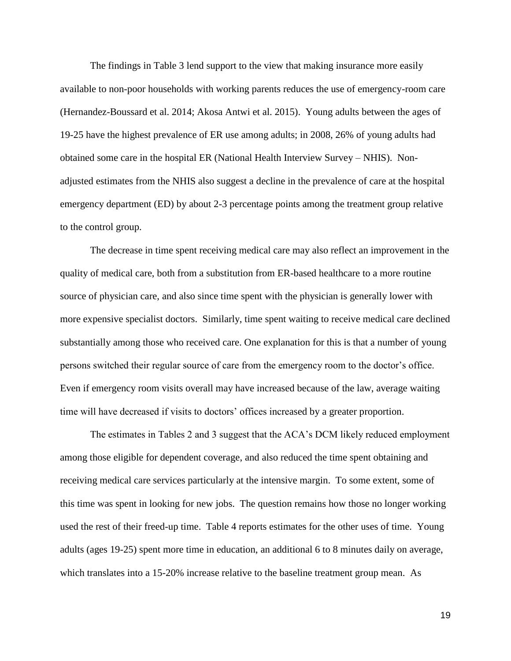The findings in Table 3 lend support to the view that making insurance more easily available to non-poor households with working parents reduces the use of emergency-room care (Hernandez-Boussard et al. 2014; Akosa Antwi et al. 2015). Young adults between the ages of 19-25 have the highest prevalence of ER use among adults; in 2008, 26% of young adults had obtained some care in the hospital ER (National Health Interview Survey – NHIS). Nonadjusted estimates from the NHIS also suggest a decline in the prevalence of care at the hospital emergency department (ED) by about 2-3 percentage points among the treatment group relative to the control group.

The decrease in time spent receiving medical care may also reflect an improvement in the quality of medical care, both from a substitution from ER-based healthcare to a more routine source of physician care, and also since time spent with the physician is generally lower with more expensive specialist doctors. Similarly, time spent waiting to receive medical care declined substantially among those who received care. One explanation for this is that a number of young persons switched their regular source of care from the emergency room to the doctor's office. Even if emergency room visits overall may have increased because of the law, average waiting time will have decreased if visits to doctors' offices increased by a greater proportion.

The estimates in Tables 2 and 3 suggest that the ACA's DCM likely reduced employment among those eligible for dependent coverage, and also reduced the time spent obtaining and receiving medical care services particularly at the intensive margin. To some extent, some of this time was spent in looking for new jobs. The question remains how those no longer working used the rest of their freed-up time. Table 4 reports estimates for the other uses of time. Young adults (ages 19-25) spent more time in education, an additional 6 to 8 minutes daily on average, which translates into a 15-20% increase relative to the baseline treatment group mean. As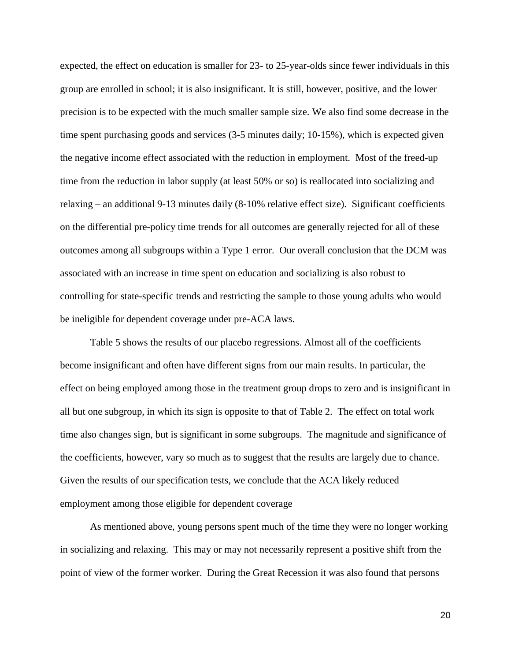expected, the effect on education is smaller for 23- to 25-year-olds since fewer individuals in this group are enrolled in school; it is also insignificant. It is still, however, positive, and the lower precision is to be expected with the much smaller sample size. We also find some decrease in the time spent purchasing goods and services (3-5 minutes daily; 10-15%), which is expected given the negative income effect associated with the reduction in employment. Most of the freed-up time from the reduction in labor supply (at least 50% or so) is reallocated into socializing and relaxing – an additional 9-13 minutes daily (8-10% relative effect size). Significant coefficients on the differential pre-policy time trends for all outcomes are generally rejected for all of these outcomes among all subgroups within a Type 1 error. Our overall conclusion that the DCM was associated with an increase in time spent on education and socializing is also robust to controlling for state-specific trends and restricting the sample to those young adults who would be ineligible for dependent coverage under pre-ACA laws.

Table 5 shows the results of our placebo regressions. Almost all of the coefficients become insignificant and often have different signs from our main results. In particular, the effect on being employed among those in the treatment group drops to zero and is insignificant in all but one subgroup, in which its sign is opposite to that of Table 2. The effect on total work time also changes sign, but is significant in some subgroups. The magnitude and significance of the coefficients, however, vary so much as to suggest that the results are largely due to chance. Given the results of our specification tests, we conclude that the ACA likely reduced employment among those eligible for dependent coverage

As mentioned above, young persons spent much of the time they were no longer working in socializing and relaxing. This may or may not necessarily represent a positive shift from the point of view of the former worker. During the Great Recession it was also found that persons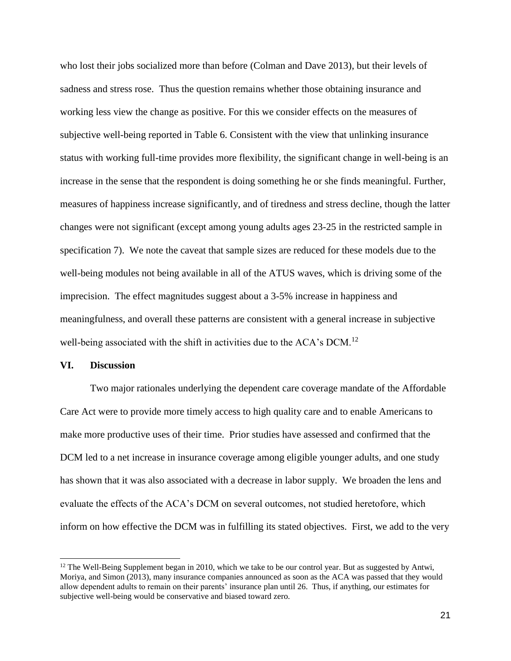who lost their jobs socialized more than before (Colman and Dave 2013), but their levels of sadness and stress rose. Thus the question remains whether those obtaining insurance and working less view the change as positive. For this we consider effects on the measures of subjective well-being reported in Table 6. Consistent with the view that unlinking insurance status with working full-time provides more flexibility, the significant change in well-being is an increase in the sense that the respondent is doing something he or she finds meaningful. Further, measures of happiness increase significantly, and of tiredness and stress decline, though the latter changes were not significant (except among young adults ages 23-25 in the restricted sample in specification 7). We note the caveat that sample sizes are reduced for these models due to the well-being modules not being available in all of the ATUS waves, which is driving some of the imprecision. The effect magnitudes suggest about a 3-5% increase in happiness and meaningfulness, and overall these patterns are consistent with a general increase in subjective well-being associated with the shift in activities due to the ACA's DCM.<sup>12</sup>

#### **VI. Discussion**

Two major rationales underlying the dependent care coverage mandate of the Affordable Care Act were to provide more timely access to high quality care and to enable Americans to make more productive uses of their time. Prior studies have assessed and confirmed that the DCM led to a net increase in insurance coverage among eligible younger adults, and one study has shown that it was also associated with a decrease in labor supply. We broaden the lens and evaluate the effects of the ACA's DCM on several outcomes, not studied heretofore, which inform on how effective the DCM was in fulfilling its stated objectives. First, we add to the very

<sup>&</sup>lt;sup>12</sup> The Well-Being Supplement began in 2010, which we take to be our control year. But as suggested by Antwi, Moriya, and Simon (2013), many insurance companies announced as soon as the ACA was passed that they would allow dependent adults to remain on their parents' insurance plan until 26. Thus, if anything, our estimates for subjective well-being would be conservative and biased toward zero.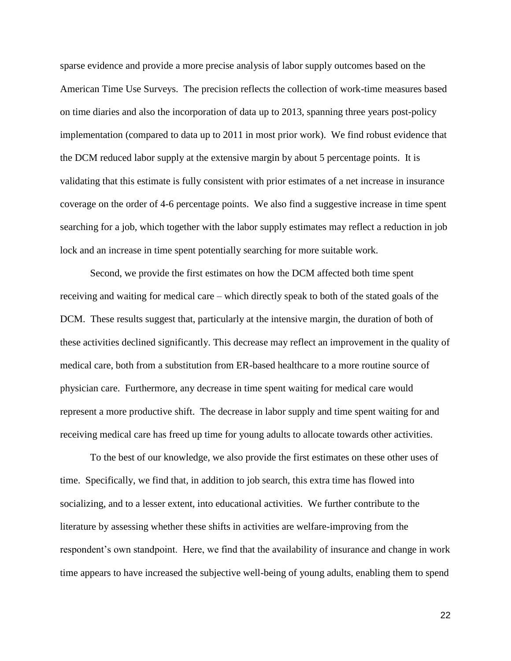sparse evidence and provide a more precise analysis of labor supply outcomes based on the American Time Use Surveys. The precision reflects the collection of work-time measures based on time diaries and also the incorporation of data up to 2013, spanning three years post-policy implementation (compared to data up to 2011 in most prior work). We find robust evidence that the DCM reduced labor supply at the extensive margin by about 5 percentage points. It is validating that this estimate is fully consistent with prior estimates of a net increase in insurance coverage on the order of 4-6 percentage points. We also find a suggestive increase in time spent searching for a job, which together with the labor supply estimates may reflect a reduction in job lock and an increase in time spent potentially searching for more suitable work.

Second, we provide the first estimates on how the DCM affected both time spent receiving and waiting for medical care – which directly speak to both of the stated goals of the DCM. These results suggest that, particularly at the intensive margin, the duration of both of these activities declined significantly. This decrease may reflect an improvement in the quality of medical care, both from a substitution from ER-based healthcare to a more routine source of physician care. Furthermore, any decrease in time spent waiting for medical care would represent a more productive shift. The decrease in labor supply and time spent waiting for and receiving medical care has freed up time for young adults to allocate towards other activities.

To the best of our knowledge, we also provide the first estimates on these other uses of time. Specifically, we find that, in addition to job search, this extra time has flowed into socializing, and to a lesser extent, into educational activities. We further contribute to the literature by assessing whether these shifts in activities are welfare-improving from the respondent's own standpoint. Here, we find that the availability of insurance and change in work time appears to have increased the subjective well-being of young adults, enabling them to spend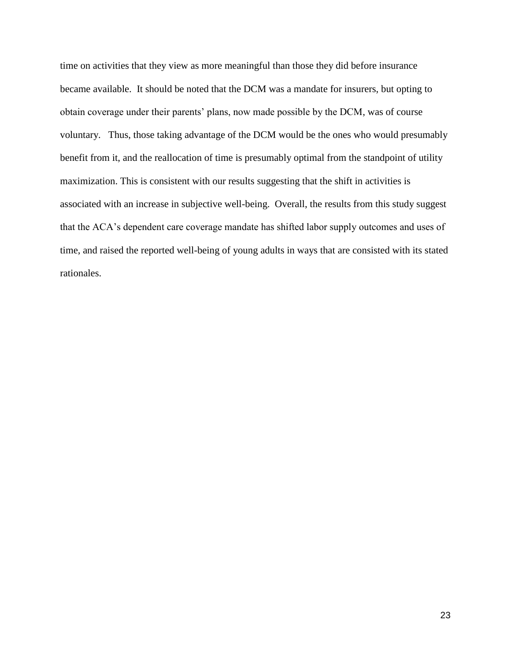time on activities that they view as more meaningful than those they did before insurance became available. It should be noted that the DCM was a mandate for insurers, but opting to obtain coverage under their parents' plans, now made possible by the DCM, was of course voluntary. Thus, those taking advantage of the DCM would be the ones who would presumably benefit from it, and the reallocation of time is presumably optimal from the standpoint of utility maximization. This is consistent with our results suggesting that the shift in activities is associated with an increase in subjective well-being. Overall, the results from this study suggest that the ACA's dependent care coverage mandate has shifted labor supply outcomes and uses of time, and raised the reported well-being of young adults in ways that are consisted with its stated rationales.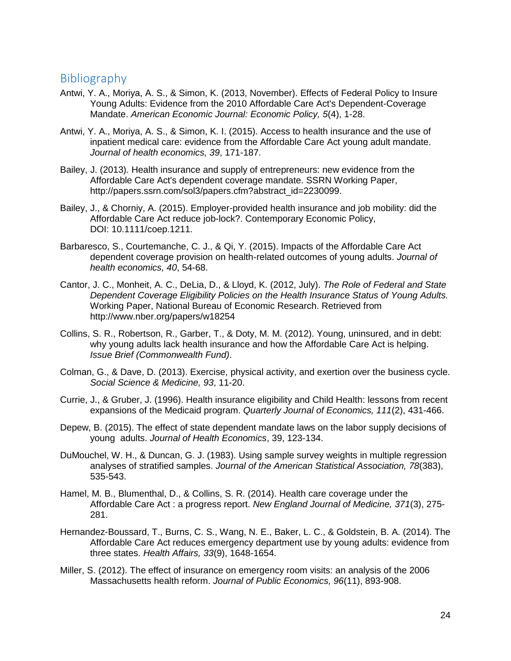### Bibliography

- Antwi, Y. A., Moriya, A. S., & Simon, K. (2013, November). Effects of Federal Policy to Insure Young Adults: Evidence from the 2010 Affordable Care Act's Dependent-Coverage Mandate. *American Economic Journal: Economic Policy, 5*(4), 1-28.
- Antwi, Y. A., Moriya, A. S., & Simon, K. I. (2015). Access to health insurance and the use of inpatient medical care: evidence from the Affordable Care Act young adult mandate. *Journal of health economics, 39*, 171-187.
- Bailey, J. (2013). Health insurance and supply of entrepreneurs: new evidence from the Affordable Care Act's dependent coverage mandate. SSRN Working Paper, http://papers.ssrn.com/sol3/papers.cfm?abstract\_id=2230099.
- Bailey, J., & Chorniy, A. (2015). Employer-provided health insurance and job mobility: did the Affordable Care Act reduce job-lock?. Contemporary Economic Policy, DOI: 10.1111/coep.1211.
- Barbaresco, S., Courtemanche, C. J., & Qi, Y. (2015). Impacts of the Affordable Care Act dependent coverage provision on health-related outcomes of young adults. *Journal of health economics, 40*, 54-68.
- Cantor, J. C., Monheit, A. C., DeLia, D., & Lloyd, K. (2012, July). *The Role of Federal and State Dependent Coverage Eligibility Policies on the Health Insurance Status of Young Adults.* Working Paper, National Bureau of Economic Research. Retrieved from http://www.nber.org/papers/w18254
- Collins, S. R., Robertson, R., Garber, T., & Doty, M. M. (2012). Young, uninsured, and in debt: why young adults lack health insurance and how the Affordable Care Act is helping. *Issue Brief (Commonwealth Fund)*.
- Colman, G., & Dave, D. (2013). Exercise, physical activity, and exertion over the business cycle. *Social Science & Medicine, 93*, 11-20.
- Currie, J., & Gruber, J. (1996). Health insurance eligibility and Child Health: lessons from recent expansions of the Medicaid program. *Quarterly Journal of Economics, 111*(2), 431-466.
- Depew, B. (2015). The effect of state dependent mandate laws on the labor supply decisions of young adults. *Journal of Health Economics*, 39, 123-134.
- DuMouchel, W. H., & Duncan, G. J. (1983). Using sample survey weights in multiple regression analyses of stratified samples. *Journal of the American Statistical Association, 78*(383), 535-543.
- Hamel, M. B., Blumenthal, D., & Collins, S. R. (2014). Health care coverage under the Affordable Care Act : a progress report. *New England Journal of Medicine, 371*(3), 275- 281.
- Hernandez-Boussard, T., Burns, C. S., Wang, N. E., Baker, L. C., & Goldstein, B. A. (2014). The Affordable Care Act reduces emergency department use by young adults: evidence from three states. *Health Affairs, 33*(9), 1648-1654.
- Miller, S. (2012). The effect of insurance on emergency room visits: an analysis of the 2006 Massachusetts health reform. *Journal of Public Economics, 96*(11), 893-908.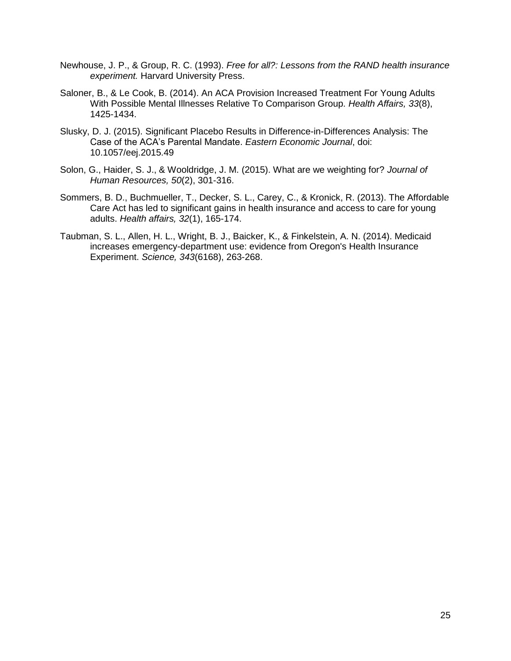- Newhouse, J. P., & Group, R. C. (1993). *Free for all?: Lessons from the RAND health insurance experiment.* Harvard University Press.
- Saloner, B., & Le Cook, B. (2014). An ACA Provision Increased Treatment For Young Adults With Possible Mental Illnesses Relative To Comparison Group. *Health Affairs, 33*(8), 1425-1434.
- Slusky, D. J. (2015). Significant Placebo Results in Difference-in-Differences Analysis: The Case of the ACA's Parental Mandate. *Eastern Economic Journal*, doi: 10.1057/eej.2015.49
- Solon, G., Haider, S. J., & Wooldridge, J. M. (2015). What are we weighting for? *Journal of Human Resources, 50*(2), 301-316.
- Sommers, B. D., Buchmueller, T., Decker, S. L., Carey, C., & Kronick, R. (2013). The Affordable Care Act has led to significant gains in health insurance and access to care for young adults. *Health affairs, 32*(1), 165-174.
- Taubman, S. L., Allen, H. L., Wright, B. J., Baicker, K., & Finkelstein, A. N. (2014). Medicaid increases emergency-department use: evidence from Oregon's Health Insurance Experiment. *Science, 343*(6168), 263-268.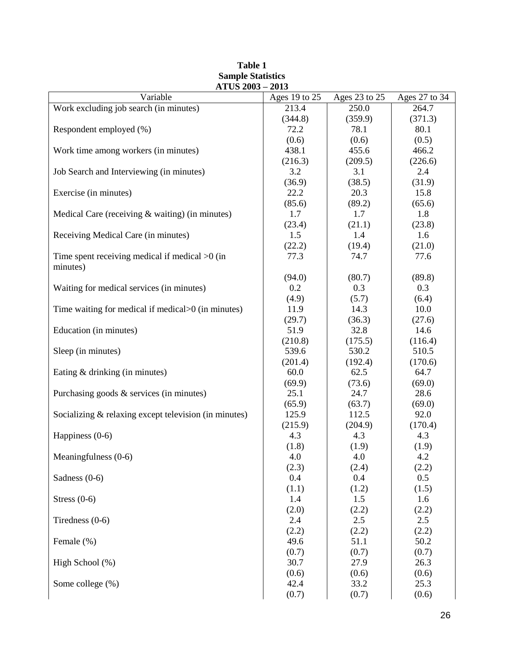| Variable                                              | ATUS 2003 – 2013 |               |               |
|-------------------------------------------------------|------------------|---------------|---------------|
|                                                       | Ages 19 to 25    | Ages 23 to 25 | Ages 27 to 34 |
| Work excluding job search (in minutes)                | 213.4            | 250.0         | 264.7         |
|                                                       | (344.8)          | (359.9)       | (371.3)       |
| Respondent employed (%)                               | 72.2             | 78.1          | 80.1          |
|                                                       | (0.6)            | (0.6)         | (0.5)         |
| Work time among workers (in minutes)                  | 438.1            | 455.6         | 466.2         |
|                                                       | (216.3)          | (209.5)       | (226.6)       |
| Job Search and Interviewing (in minutes)              | 3.2              | 3.1           | 2.4           |
|                                                       | (36.9)           | (38.5)        | (31.9)        |
| Exercise (in minutes)                                 | 22.2             | 20.3          | 15.8          |
|                                                       | (85.6)           | (89.2)        | (65.6)        |
| Medical Care (receiving $&$ waiting) (in minutes)     | 1.7              | 1.7           | 1.8           |
|                                                       | (23.4)           | (21.1)        | (23.8)        |
| Receiving Medical Care (in minutes)                   | 1.5              | 1.4           | 1.6           |
|                                                       | (22.2)           | (19.4)        | (21.0)        |
| Time spent receiving medical if medical $>0$ (in      | 77.3             | 74.7          | 77.6          |
| minutes)                                              |                  |               |               |
|                                                       | (94.0)           | (80.7)        | (89.8)        |
| Waiting for medical services (in minutes)             | 0.2              | 0.3           | 0.3           |
|                                                       | (4.9)            | (5.7)         | (6.4)         |
| Time waiting for medical if medical>0 (in minutes)    | 11.9             | 14.3          | 10.0          |
|                                                       | (29.7)           | (36.3)        | (27.6)        |
| Education (in minutes)                                | 51.9             | 32.8          | 14.6          |
|                                                       | (210.8)          | (175.5)       | (116.4)       |
| Sleep (in minutes)                                    | 539.6            | 530.2         | 510.5         |
|                                                       | (201.4)          | (192.4)       | (170.6)       |
| Eating & drinking (in minutes)                        | 60.0             | 62.5          | 64.7          |
|                                                       | (69.9)           | (73.6)        | (69.0)        |
| Purchasing goods & services (in minutes)              | 25.1             | 24.7          | 28.6          |
|                                                       | (65.9)           | (63.7)        | (69.0)        |
| Socializing & relaxing except television (in minutes) | 125.9            | 112.5         | 92.0          |
|                                                       | (215.9)          | (204.9)       | (170.4)       |
| Happiness $(0-6)$                                     | 4.3              | 4.3           | 4.3           |
|                                                       | (1.8)            | (1.9)         | (1.9)         |
| Meaningfulness (0-6)                                  | 4.0              | 4.0           | 4.2           |
|                                                       | (2.3)            | (2.4)         | (2.2)         |
| Sadness $(0-6)$                                       | 0.4              | 0.4           | 0.5           |
|                                                       | (1.1)            | (1.2)         | (1.5)         |
| Stress $(0-6)$                                        | 1.4              | 1.5           | 1.6           |
|                                                       | (2.0)            | (2.2)         | (2.2)         |
| Tiredness $(0-6)$                                     | 2.4              | 2.5           | 2.5           |
|                                                       | (2.2)            | (2.2)         | (2.2)         |
| Female (%)                                            | 49.6             | 51.1          | $50.2\,$      |
|                                                       | (0.7)            | (0.7)         | (0.7)         |
| High School (%)                                       | 30.7             | 27.9          | 26.3          |
|                                                       | (0.6)            | (0.6)         | (0.6)         |
| Some college (%)                                      | 42.4             | 33.2          | 25.3          |
|                                                       | (0.7)            | (0.7)         | (0.6)         |

#### **Table 1 Sample Statistics ATUS 2003 – 2013**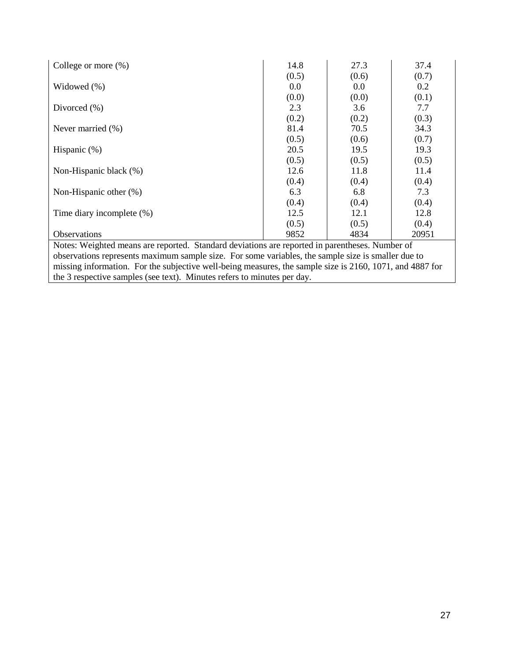| College or more $(\%)$                                                                                   | 14.8  | 27.3    | 37.4  |  |  |  |
|----------------------------------------------------------------------------------------------------------|-------|---------|-------|--|--|--|
|                                                                                                          | (0.5) | (0.6)   | (0.7) |  |  |  |
| Widowed $(\% )$                                                                                          | 0.0   | $0.0\,$ | 0.2   |  |  |  |
|                                                                                                          | (0.0) | (0.0)   | (0.1) |  |  |  |
| Divorced $(\% )$                                                                                         | 2.3   | 3.6     | 7.7   |  |  |  |
|                                                                                                          | (0.2) | (0.2)   | (0.3) |  |  |  |
| Never married $(\%)$                                                                                     | 81.4  | 70.5    | 34.3  |  |  |  |
|                                                                                                          | (0.5) | (0.6)   | (0.7) |  |  |  |
| Hispanic $(\%)$                                                                                          | 20.5  | 19.5    | 19.3  |  |  |  |
|                                                                                                          | (0.5) | (0.5)   | (0.5) |  |  |  |
| Non-Hispanic black (%)                                                                                   | 12.6  | 11.8    | 11.4  |  |  |  |
|                                                                                                          | (0.4) | (0.4)   | (0.4) |  |  |  |
| Non-Hispanic other $(\%)$                                                                                | 6.3   | 6.8     | 7.3   |  |  |  |
|                                                                                                          | (0.4) | (0.4)   | (0.4) |  |  |  |
| Time diary incomplete (%)                                                                                | 12.5  | 12.1    | 12.8  |  |  |  |
|                                                                                                          | (0.5) | (0.5)   | (0.4) |  |  |  |
| <b>Observations</b>                                                                                      | 9852  | 4834    | 20951 |  |  |  |
| Notes: Weighted means are reported. Standard deviations are reported in parentheses. Number of           |       |         |       |  |  |  |
| observations represents maximum sample size. For some variables, the sample size is smaller due to       |       |         |       |  |  |  |
| missing information. For the subjective well-being measures, the sample size is 2160, 1071, and 4887 for |       |         |       |  |  |  |
| the 3 respective samples (see text). Minutes refers to minutes per day.                                  |       |         |       |  |  |  |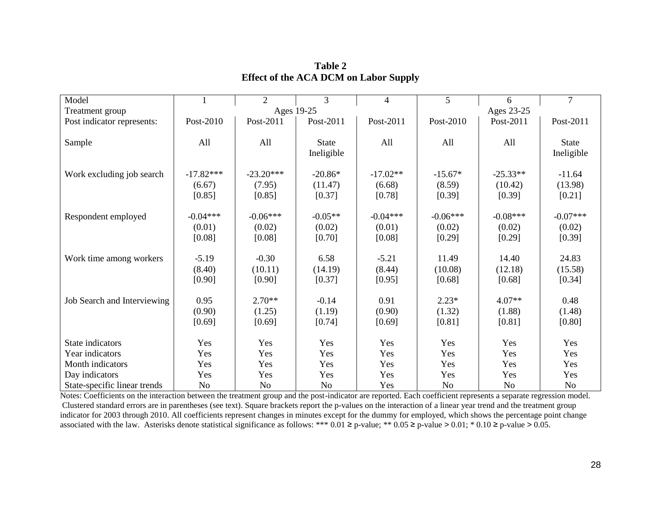| Model                        |                                 | $\overline{2}$                  | 3                               | $\overline{4}$                 | 5                              | 6                               | $\overline{7}$                 |
|------------------------------|---------------------------------|---------------------------------|---------------------------------|--------------------------------|--------------------------------|---------------------------------|--------------------------------|
| Treatment group              |                                 | Ages 19-25                      |                                 |                                |                                | Ages 23-25                      |                                |
| Post indicator represents:   | Post-2010                       | Post-2011                       | Post-2011                       | Post-2011                      | Post-2010                      | Post-2011                       | Post-2011                      |
| Sample                       | All                             | All                             | <b>State</b><br>Ineligible      | All                            | All                            | All                             | <b>State</b><br>Ineligible     |
| Work excluding job search    | $-17.82***$<br>(6.67)<br>[0.85] | $-23.20***$<br>(7.95)<br>[0.85] | $-20.86*$<br>(11.47)<br>[0.37]  | $-17.02**$<br>(6.68)<br>[0.78] | $-15.67*$<br>(8.59)<br>[0.39]  | $-25.33**$<br>(10.42)<br>[0.39] | $-11.64$<br>(13.98)<br>[0.21]  |
| Respondent employed          | $-0.04***$<br>(0.01)<br>[0.08]  | $-0.06***$<br>(0.02)<br>[0.08]  | $-0.05**$<br>(0.02)<br>$[0.70]$ | $-0.04***$<br>(0.01)<br>[0.08] | $-0.06***$<br>(0.02)<br>[0.29] | $-0.08***$<br>(0.02)<br>[0.29]  | $-0.07***$<br>(0.02)<br>[0.39] |
| Work time among workers      | $-5.19$<br>(8.40)<br>[0.90]     | $-0.30$<br>(10.11)<br>[0.90]    | 6.58<br>(14.19)<br>[0.37]       | $-5.21$<br>(8.44)<br>[0.95]    | 11.49<br>(10.08)<br>[0.68]     | 14.40<br>(12.18)<br>[0.68]      | 24.83<br>(15.58)<br>[0.34]     |
| Job Search and Interviewing  | 0.95<br>(0.90)<br>[0.69]        | $2.70**$<br>(1.25)<br>[0.69]    | $-0.14$<br>(1.19)<br>[0.74]     | 0.91<br>(0.90)<br>[0.69]       | $2.23*$<br>(1.32)<br>[0.81]    | $4.07**$<br>(1.88)<br>[0.81]    | 0.48<br>(1.48)<br>[0.80]       |
| State indicators             | Yes                             | Yes                             | Yes                             | Yes                            | Yes                            | Yes                             | Yes                            |
| Year indicators              | Yes                             | Yes                             | Yes                             | Yes                            | Yes                            | Yes                             | Yes                            |
| Month indicators             | Yes                             | Yes                             | Yes                             | Yes                            | Yes                            | Yes                             | Yes                            |
| Day indicators               | Yes                             | Yes                             | Yes                             | Yes                            | Yes                            | Yes                             | Yes                            |
| State-specific linear trends | No                              | N <sub>0</sub>                  | <b>No</b>                       | Yes                            | No                             | N <sub>o</sub>                  | N <sub>o</sub>                 |

**Table 2 Effect of the ACA DCM on Labor Supply**

Notes: Coefficients on the interaction between the treatment group and the post-indicator are reported. Each coefficient represents a separate regression model. Clustered standard errors are in parentheses (see text). Square brackets report the p-values on the interaction of a linear year trend and the treatment group indicator for 2003 through 2010. All coefficients represent changes in minutes except for the dummy for employed, which shows the percentage point change associated with the law. Asterisks denote statistical significance as follows: \*\*\* 0.01 ≥ p-value; \*\* 0.05 ≥ p-value > 0.01; \* 0.10 ≥ p-value > 0.05.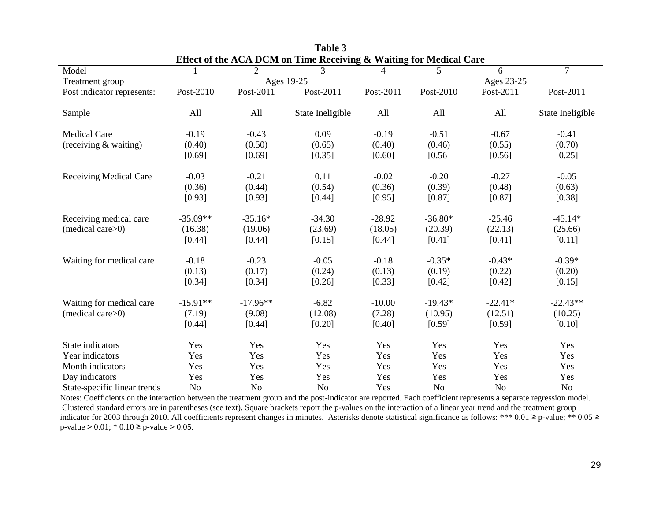|                               |                |                | ETTECT OF THE TACTA D'UNI ON THIRE INCENTING |                | $\alpha$ wanting for incurrent care |                |                  |
|-------------------------------|----------------|----------------|----------------------------------------------|----------------|-------------------------------------|----------------|------------------|
| Model                         |                | $\overline{2}$ | 3                                            | $\overline{4}$ | 5                                   | 6              | $\overline{7}$   |
| Treatment group               | Ages 19-25     |                |                                              |                |                                     | Ages 23-25     |                  |
| Post indicator represents:    | Post-2010      | Post-2011      | Post-2011                                    | Post-2011      | Post-2010                           | Post-2011      | Post-2011        |
|                               |                |                |                                              |                |                                     |                |                  |
| Sample                        | All            | All            | State Ineligible                             | All            | All                                 | All            | State Ineligible |
|                               |                |                |                                              |                |                                     |                |                  |
| <b>Medical Care</b>           | $-0.19$        | $-0.43$        | 0.09                                         | $-0.19$        | $-0.51$                             | $-0.67$        | $-0.41$          |
|                               |                |                |                                              |                |                                     |                |                  |
| (receiving $&$ waiting)       | (0.40)         | (0.50)         | (0.65)                                       | (0.40)         | (0.46)                              | (0.55)         | (0.70)           |
|                               | [0.69]         | [0.69]         | [0.35]                                       | [0.60]         | [0.56]                              | [0.56]         | [0.25]           |
|                               |                |                |                                              |                |                                     |                |                  |
| <b>Receiving Medical Care</b> | $-0.03$        | $-0.21$        | 0.11                                         | $-0.02$        | $-0.20$                             | $-0.27$        | $-0.05$          |
|                               | (0.36)         | (0.44)         | (0.54)                                       | (0.36)         | (0.39)                              | (0.48)         | (0.63)           |
|                               | [0.93]         | [0.93]         | [0.44]                                       | [0.95]         | [0.87]                              | [0.87]         | [0.38]           |
|                               |                |                |                                              |                |                                     |                |                  |
| Receiving medical care        | $-35.09**$     | $-35.16*$      | $-34.30$                                     | $-28.92$       | $-36.80*$                           | $-25.46$       | $-45.14*$        |
| (medical care>0)              | (16.38)        | (19.06)        | (23.69)                                      | (18.05)        | (20.39)                             | (22.13)        | (25.66)          |
|                               |                |                |                                              |                |                                     |                |                  |
|                               | [0.44]         | [0.44]         | [0.15]                                       | [0.44]         | [0.41]                              | [0.41]         | [0.11]           |
|                               |                |                |                                              |                |                                     |                |                  |
| Waiting for medical care      | $-0.18$        | $-0.23$        | $-0.05$                                      | $-0.18$        | $-0.35*$                            | $-0.43*$       | $-0.39*$         |
|                               | (0.13)         | (0.17)         | (0.24)                                       | (0.13)         | (0.19)                              | (0.22)         | (0.20)           |
|                               | [0.34]         | [0.34]         | [0.26]                                       | [0.33]         | [0.42]                              | [0.42]         | [0.15]           |
|                               |                |                |                                              |                |                                     |                |                  |
| Waiting for medical care      | $-15.91**$     | $-17.96**$     | $-6.82$                                      | $-10.00$       | $-19.43*$                           | $-22.41*$      | $-22.43**$       |
| (medical care>0)              | (7.19)         | (9.08)         | (12.08)                                      | (7.28)         | (10.95)                             | (12.51)        | (10.25)          |
|                               | [0.44]         | [0.44]         | $[0.20]$                                     | [0.40]         | [0.59]                              | [0.59]         | [0.10]           |
|                               |                |                |                                              |                |                                     |                |                  |
| State indicators              | Yes            | Yes            | Yes                                          | Yes            | Yes                                 | Yes            | Yes              |
| Year indicators               | Yes            | Yes            | Yes                                          | Yes            | Yes                                 | Yes            | Yes              |
| Month indicators              | Yes            | Yes            | Yes                                          | Yes            | Yes                                 | Yes            | Yes              |
|                               | Yes            |                |                                              |                |                                     |                | Yes              |
| Day indicators                |                | Yes            | Yes                                          | Yes            | Yes                                 | Yes            |                  |
| State-specific linear trends  | N <sub>o</sub> | N <sub>o</sub> | N <sub>o</sub>                               | Yes            | N <sub>o</sub>                      | N <sub>o</sub> | N <sub>o</sub>   |

**Table 3 Effect of the ACA DCM on Time Receiving & Waiting for Medical Care**

Notes: Coefficients on the interaction between the treatment group and the post-indicator are reported. Each coefficient represents a separate regression model. Clustered standard errors are in parentheses (see text). Square brackets report the p-values on the interaction of a linear year trend and the treatment group indicator for 2003 through 2010. All coefficients represent changes in minutes. Asterisks denote statistical significance as follows: \*\*\* 0.01 ≥ p-value; \*\* 0.05 ≥  $p$ -value > 0.01; \* 0.10  $\ge$  p-value > 0.05.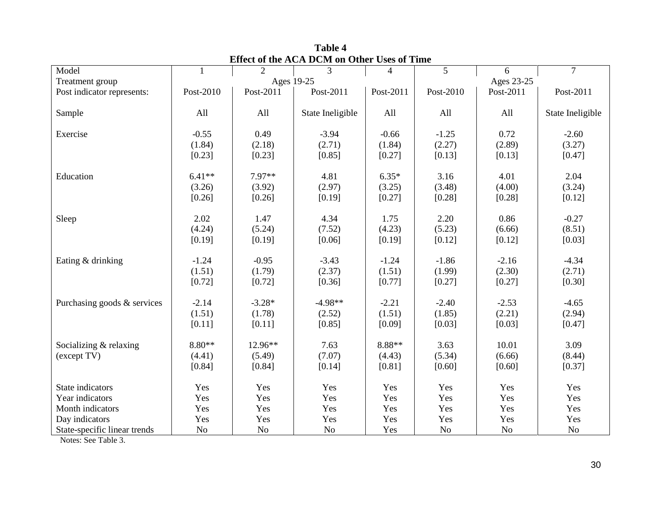| Model                        | $\mathbf{1}$ | $\overline{2}$ | 3                | $\overline{4}$ | 5              | 6              | $\overline{7}$   |
|------------------------------|--------------|----------------|------------------|----------------|----------------|----------------|------------------|
| Treatment group              |              |                | Ages 19-25       |                |                | Ages 23-25     |                  |
| Post indicator represents:   | Post-2010    | Post-2011      | Post-2011        | Post-2011      | Post-2010      | Post-2011      | Post-2011        |
|                              |              |                |                  |                |                |                |                  |
| Sample                       | All          | All            | State Ineligible | All            | All            | All            | State Ineligible |
|                              |              |                |                  |                |                |                |                  |
| Exercise                     | $-0.55$      | 0.49           | $-3.94$          | $-0.66$        | $-1.25$        | 0.72           | $-2.60$          |
|                              | (1.84)       | (2.18)         | (2.71)           | (1.84)         | (2.27)         | (2.89)         | (3.27)           |
|                              | [0.23]       | [0.23]         | [0.85]           | [0.27]         | [0.13]         | [0.13]         | [0.47]           |
|                              |              |                |                  |                |                |                |                  |
| Education                    | $6.41**$     | 7.97**         | 4.81             | $6.35*$        | 3.16           | 4.01           | 2.04             |
|                              | (3.26)       | (3.92)         | (2.97)           | (3.25)         | (3.48)         | (4.00)         | (3.24)           |
|                              | [0.26]       | [0.26]         | [0.19]           | [0.27]         | [0.28]         | [0.28]         | [0.12]           |
|                              |              |                | 4.34             |                |                |                |                  |
| Sleep                        | 2.02         | 1.47           |                  | 1.75           | 2.20           | 0.86           | $-0.27$          |
|                              | (4.24)       | (5.24)         | (7.52)           | (4.23)         | (5.23)         | (6.66)         | (8.51)           |
|                              | [0.19]       | [0.19]         | [0.06]           | [0.19]         | [0.12]         | [0.12]         | [0.03]           |
| Eating & drinking            | $-1.24$      | $-0.95$        | $-3.43$          | $-1.24$        | $-1.86$        | $-2.16$        | $-4.34$          |
|                              | (1.51)       | (1.79)         | (2.37)           | (1.51)         | (1.99)         | (2.30)         | (2.71)           |
|                              | [0.72]       | [0.72]         | [0.36]           | [0.77]         | [0.27]         | [0.27]         | [0.30]           |
|                              |              |                |                  |                |                |                |                  |
| Purchasing goods & services  | $-2.14$      | $-3.28*$       | $-4.98**$        | $-2.21$        | $-2.40$        | $-2.53$        | $-4.65$          |
|                              | (1.51)       | (1.78)         | (2.52)           | (1.51)         | (1.85)         | (2.21)         | (2.94)           |
|                              | [0.11]       | [0.11]         | [0.85]           | [0.09]         | [0.03]         | [0.03]         | [0.47]           |
|                              |              |                |                  |                |                |                |                  |
| Socializing & relaxing       | $8.80**$     | 12.96**        | 7.63             | $8.88**$       | 3.63           | 10.01          | 3.09             |
| (except TV)                  | (4.41)       | (5.49)         | (7.07)           | (4.43)         | (5.34)         | (6.66)         | (8.44)           |
|                              | [0.84]       | [0.84]         | [0.14]           | [0.81]         | [0.60]         | [0.60]         | [0.37]           |
|                              |              |                |                  |                |                |                |                  |
| State indicators             | Yes          | Yes            | Yes              | Yes            | Yes            | Yes            | Yes              |
| Year indicators              | Yes          | Yes            | Yes              | Yes            | Yes            | Yes            | Yes              |
| Month indicators             | Yes          | Yes            | Yes              | Yes            | Yes            | Yes            | Yes              |
| Day indicators               | Yes          | Yes            | Yes              | Yes            | Yes            | Yes            | Yes              |
| State-specific linear trends | No           | No             | N <sub>o</sub>   | Yes            | N <sub>o</sub> | N <sub>o</sub> | No               |

**Table 4 Effect of the ACA DCM on Other Uses of Time**

Notes: See Table 3.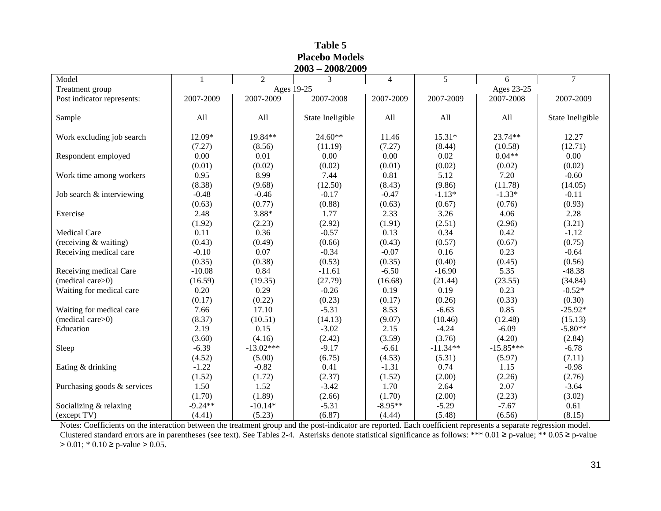| $2003 - 2008/2009$          |           |                |                  |                |            |             |                  |  |
|-----------------------------|-----------|----------------|------------------|----------------|------------|-------------|------------------|--|
| Model                       | 1         | $\overline{2}$ | 3                | $\overline{4}$ | 5          | 6           | $\overline{7}$   |  |
| Treatment group             |           | Ages 19-25     |                  |                | Ages 23-25 |             |                  |  |
| Post indicator represents:  | 2007-2009 | 2007-2009      | 2007-2008        | 2007-2009      | 2007-2009  | 2007-2008   | 2007-2009        |  |
| Sample                      | All       | All            | State Ineligible | All            | All        | All         | State Ineligible |  |
| Work excluding job search   | 12.09*    | 19.84**        | $24.60**$        | 11.46          | 15.31*     | 23.74**     | 12.27            |  |
|                             | (7.27)    | (8.56)         | (11.19)          | (7.27)         | (8.44)     | (10.58)     | (12.71)          |  |
| Respondent employed         | 0.00      | 0.01           | 0.00             | 0.00           | 0.02       | $0.04**$    | 0.00             |  |
|                             | (0.01)    | (0.02)         | (0.02)           | (0.01)         | (0.02)     | (0.02)      | (0.02)           |  |
| Work time among workers     | 0.95      | 8.99           | 7.44             | 0.81           | 5.12       | 7.20        | $-0.60$          |  |
|                             | (8.38)    | (9.68)         | (12.50)          | (8.43)         | (9.86)     | (11.78)     | (14.05)          |  |
| Job search & interviewing   | $-0.48$   | $-0.46$        | $-0.17$          | $-0.47$        | $-1.13*$   | $-1.33*$    | $-0.11$          |  |
|                             | (0.63)    | (0.77)         | (0.88)           | (0.63)         | (0.67)     | (0.76)      | (0.93)           |  |
| Exercise                    | 2.48      | 3.88*          | 1.77             | 2.33           | 3.26       | 4.06        | 2.28             |  |
|                             | (1.92)    | (2.23)         | (2.92)           | (1.91)         | (2.51)     | (2.96)      | (3.21)           |  |
| <b>Medical Care</b>         | 0.11      | 0.36           | $-0.57$          | 0.13           | 0.34       | 0.42        | $-1.12$          |  |
| (receiving & waiting)       | (0.43)    | (0.49)         | (0.66)           | (0.43)         | (0.57)     | (0.67)      | (0.75)           |  |
| Receiving medical care      | $-0.10$   | 0.07           | $-0.34$          | $-0.07$        | 0.16       | 0.23        | $-0.64$          |  |
|                             | (0.35)    | (0.38)         | (0.53)           | (0.35)         | (0.40)     | (0.45)      | (0.56)           |  |
| Receiving medical Care      | $-10.08$  | 0.84           | $-11.61$         | $-6.50$        | $-16.90$   | 5.35        | $-48.38$         |  |
| (medical care>0)            | (16.59)   | (19.35)        | (27.79)          | (16.68)        | (21.44)    | (23.55)     | (34.84)          |  |
| Waiting for medical care    | 0.20      | 0.29           | $-0.26$          | 0.19           | 0.19       | 0.23        | $-0.52*$         |  |
|                             | (0.17)    | (0.22)         | (0.23)           | (0.17)         | (0.26)     | (0.33)      | (0.30)           |  |
| Waiting for medical care    | 7.66      | 17.10          | $-5.31$          | 8.53           | $-6.63$    | 0.85        | $-25.92*$        |  |
| (medical care>0)            | (8.37)    | (10.51)        | (14.13)          | (9.07)         | (10.46)    | (12.48)     | (15.13)          |  |
| Education                   | 2.19      | 0.15           | $-3.02$          | 2.15           | $-4.24$    | $-6.09$     | $-5.80**$        |  |
|                             | (3.60)    | (4.16)         | (2.42)           | (3.59)         | (3.76)     | (4.20)      | (2.84)           |  |
| Sleep                       | $-6.39$   | $-13.02***$    | $-9.17$          | $-6.61$        | $-11.34**$ | $-15.85***$ | $-6.78$          |  |
|                             | (4.52)    | (5.00)         | (6.75)           | (4.53)         | (5.31)     | (5.97)      | (7.11)           |  |
| Eating & drinking           | $-1.22$   | $-0.82$        | 0.41             | $-1.31$        | 0.74       | 1.15        | $-0.98$          |  |
|                             | (1.52)    | (1.72)         | (2.37)           | (1.52)         | (2.00)     | (2.26)      | (2.76)           |  |
| Purchasing goods & services | 1.50      | 1.52           | $-3.42$          | 1.70           | 2.64       | 2.07        | $-3.64$          |  |
|                             | (1.70)    | (1.89)         | (2.66)           | (1.70)         | (2.00)     | (2.23)      | (3.02)           |  |
| Socializing & relaxing      | $-9.24**$ | $-10.14*$      | $-5.31$          | $-8.95**$      | $-5.29$    | $-7.67$     | 0.61             |  |
| (except TV)                 | (4.41)    | (5.23)         | (6.87)           | (4.44)         | (5.48)     | (6.56)      | (8.15)           |  |

**Table 5 Placebo Models**

Notes: Coefficients on the interaction between the treatment group and the post-indicator are reported. Each coefficient represents a separate regression model. Clustered standard errors are in parentheses (see text). See Tables 2-4. Asterisks denote statistical significance as follows: \*\*\* 0.01 ≥ p-value; \*\* 0.05 ≥ p-value  $> 0.01$ ; \* 0.10  $\ge$  p-value  $> 0.05$ .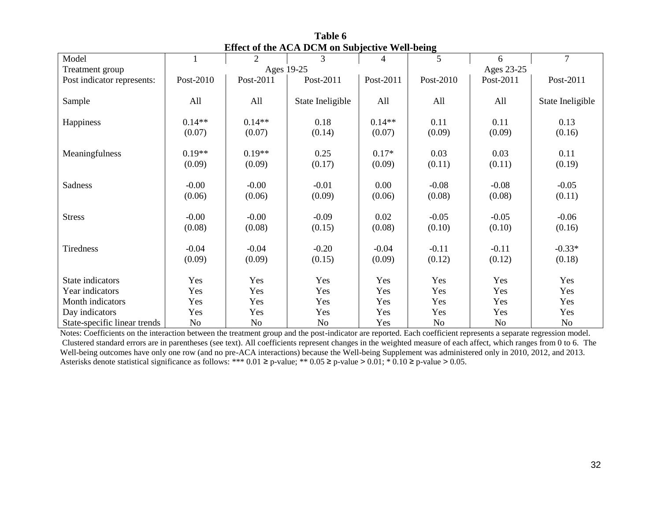| Model                        |           | $\overline{2}$ | 3                | 4          | 5         | 6         | $\overline{7}$   |
|------------------------------|-----------|----------------|------------------|------------|-----------|-----------|------------------|
| Treatment group              |           |                | Ages 19-25       | Ages 23-25 |           |           |                  |
| Post indicator represents:   | Post-2010 | Post-2011      | Post-2011        | Post-2011  | Post-2010 | Post-2011 | Post-2011        |
|                              |           |                |                  |            |           |           |                  |
| Sample                       | All       | All            | State Ineligible | All        | All       | All       | State Ineligible |
|                              |           |                |                  |            |           |           |                  |
| Happiness                    | $0.14**$  | $0.14**$       | 0.18             | $0.14**$   | 0.11      | 0.11      | 0.13             |
|                              | (0.07)    | (0.07)         | (0.14)           | (0.07)     | (0.09)    | (0.09)    | (0.16)           |
|                              |           |                |                  |            |           |           |                  |
| Meaningfulness               | $0.19**$  | $0.19**$       | 0.25             | $0.17*$    | 0.03      | 0.03      | 0.11             |
|                              | (0.09)    | (0.09)         | (0.17)           | (0.09)     | (0.11)    | (0.11)    | (0.19)           |
|                              | $-0.00$   | $-0.00$        | $-0.01$          |            | $-0.08$   |           | $-0.05$          |
| Sadness                      |           |                |                  | $0.00\,$   |           | $-0.08$   |                  |
|                              | (0.06)    | (0.06)         | (0.09)           | (0.06)     | (0.08)    | (0.08)    | (0.11)           |
| <b>Stress</b>                | $-0.00$   | $-0.00$        | $-0.09$          | 0.02       | $-0.05$   | $-0.05$   | $-0.06$          |
|                              | (0.08)    | (0.08)         | (0.15)           | (0.08)     | (0.10)    | (0.10)    | (0.16)           |
|                              |           |                |                  |            |           |           |                  |
| Tiredness                    | $-0.04$   | $-0.04$        | $-0.20$          | $-0.04$    | $-0.11$   | $-0.11$   | $-0.33*$         |
|                              | (0.09)    | (0.09)         | (0.15)           | (0.09)     | (0.12)    | (0.12)    | (0.18)           |
|                              |           |                |                  |            |           |           |                  |
| State indicators             | Yes       | Yes            | Yes              | Yes        | Yes       | Yes       | Yes              |
| Year indicators              | Yes       | Yes            | Yes              | Yes        | Yes       | Yes       | Yes              |
| Month indicators             | Yes       | Yes            | Yes              | Yes        | Yes       | Yes       | Yes              |
| Day indicators               | Yes       | Yes            | Yes              | Yes        | Yes       | Yes       | Yes              |
| State-specific linear trends | No        | No             | No               | Yes        | No        | No        | No               |

**Table 6 Effect of the ACA DCM on Subjective Well-being**

Notes: Coefficients on the interaction between the treatment group and the post-indicator are reported. Each coefficient represents a separate regression model. Clustered standard errors are in parentheses (see text). All coefficients represent changes in the weighted measure of each affect, which ranges from 0 to 6. The Well-being outcomes have only one row (and no pre-ACA interactions) because the Well-being Supplement was administered only in 2010, 2012, and 2013. Asterisks denote statistical significance as follows: \*\*\*  $0.01 \ge p$ -value; \*\*  $0.05 \ge p$ -value >  $0.01$ ; \* $0.10 \ge p$ -value > 0.05.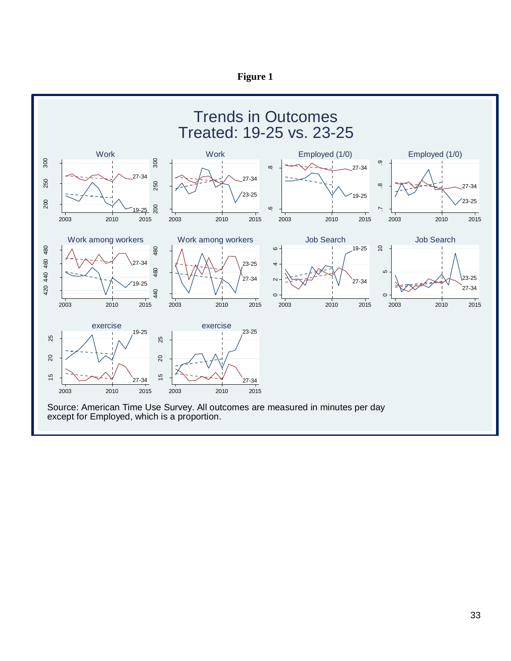

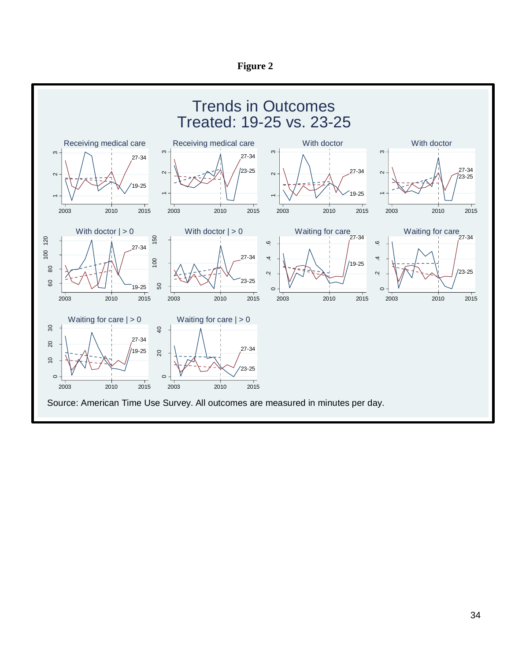